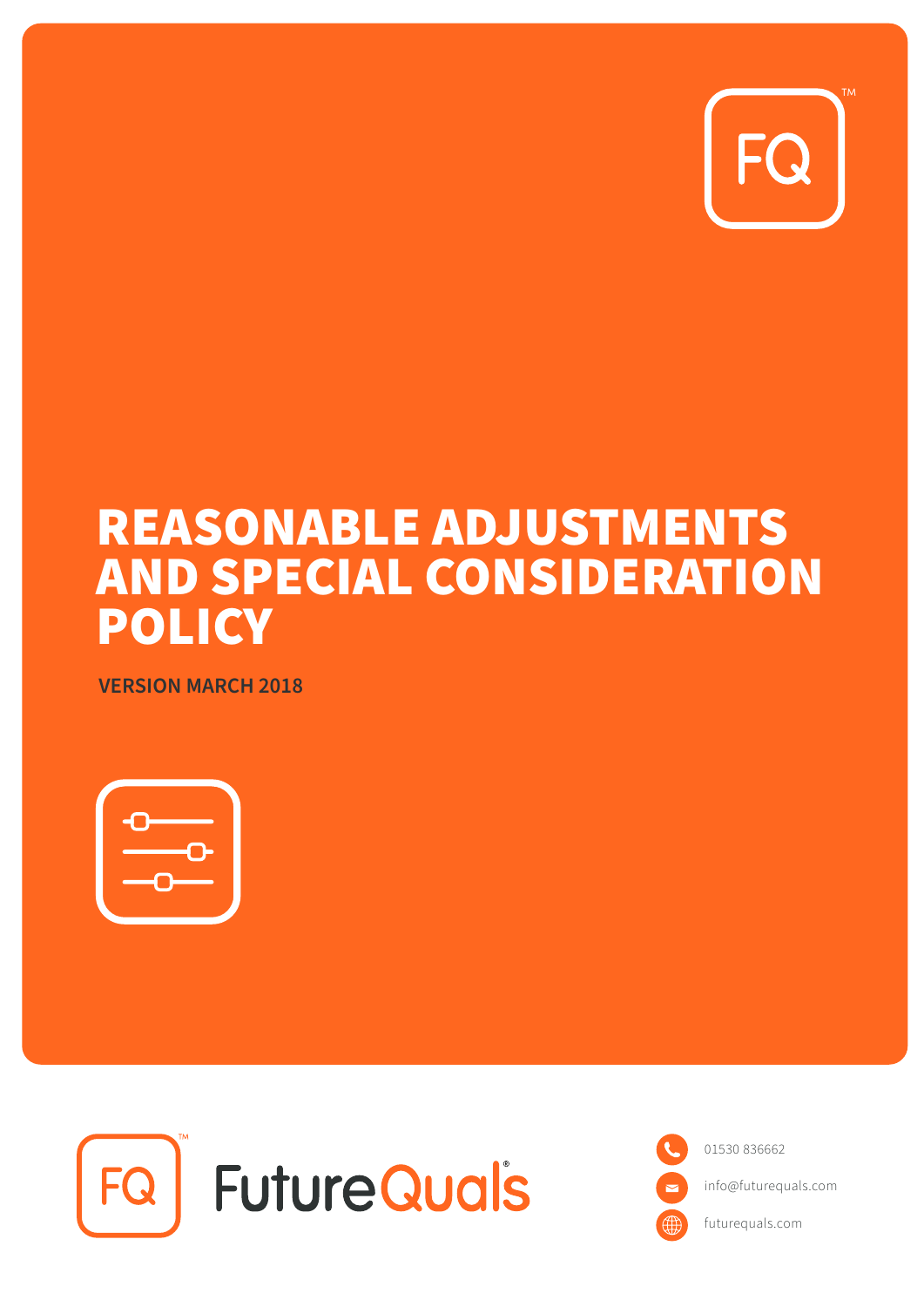

# REASONABLE ADJUSTMENTS AND SPECIAL CONSIDERATION **POLICY**

**VERSION MARCH 2018**





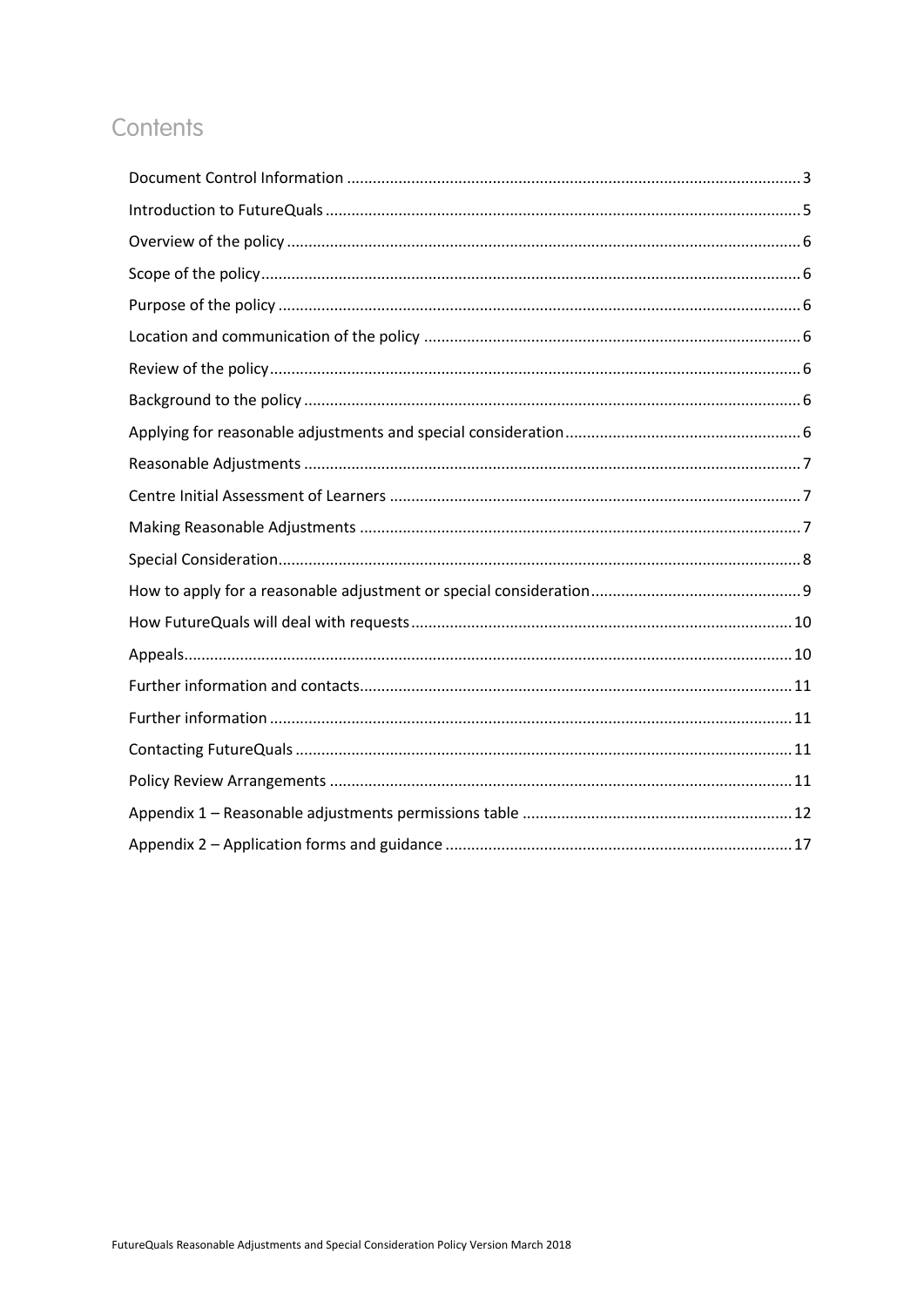## Contents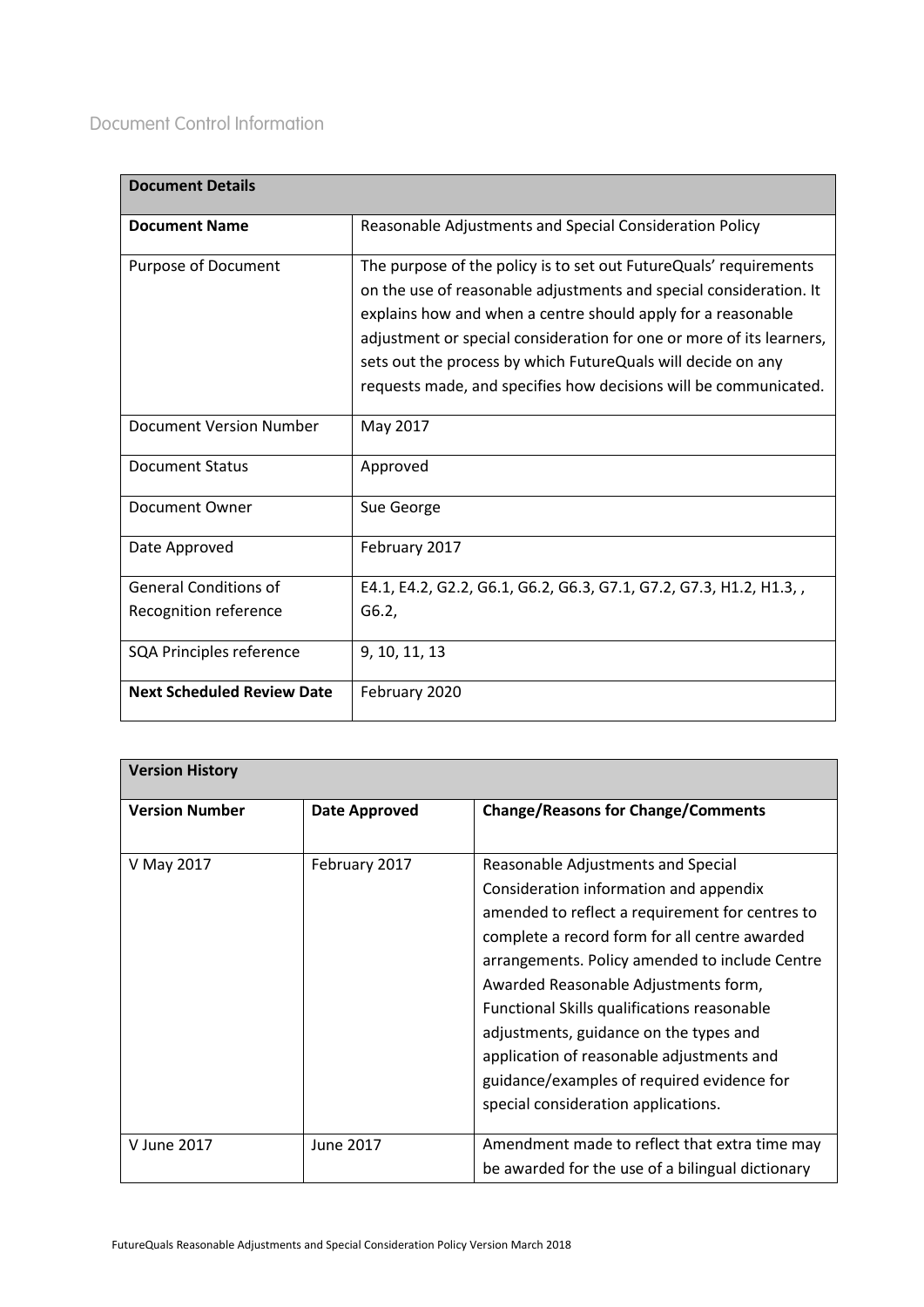<span id="page-2-0"></span>

| <b>Document Details</b>           |                                                                                                                                                                                                                                                                                                                                                                                                                     |
|-----------------------------------|---------------------------------------------------------------------------------------------------------------------------------------------------------------------------------------------------------------------------------------------------------------------------------------------------------------------------------------------------------------------------------------------------------------------|
| <b>Document Name</b>              | Reasonable Adjustments and Special Consideration Policy                                                                                                                                                                                                                                                                                                                                                             |
| <b>Purpose of Document</b>        | The purpose of the policy is to set out FutureQuals' requirements<br>on the use of reasonable adjustments and special consideration. It<br>explains how and when a centre should apply for a reasonable<br>adjustment or special consideration for one or more of its learners,<br>sets out the process by which FutureQuals will decide on any<br>requests made, and specifies how decisions will be communicated. |
| <b>Document Version Number</b>    | May 2017                                                                                                                                                                                                                                                                                                                                                                                                            |
| <b>Document Status</b>            | Approved                                                                                                                                                                                                                                                                                                                                                                                                            |
| Document Owner                    | Sue George                                                                                                                                                                                                                                                                                                                                                                                                          |
| Date Approved                     | February 2017                                                                                                                                                                                                                                                                                                                                                                                                       |
| <b>General Conditions of</b>      | E4.1, E4.2, G2.2, G6.1, G6.2, G6.3, G7.1, G7.2, G7.3, H1.2, H1.3,,                                                                                                                                                                                                                                                                                                                                                  |
| Recognition reference             | G6.2,                                                                                                                                                                                                                                                                                                                                                                                                               |
| SQA Principles reference          | 9, 10, 11, 13                                                                                                                                                                                                                                                                                                                                                                                                       |
| <b>Next Scheduled Review Date</b> | February 2020                                                                                                                                                                                                                                                                                                                                                                                                       |

| <b>Version History</b> |                      |                                                                                                                                                                                                                                                                                                                                                                                                                                                                                                       |  |
|------------------------|----------------------|-------------------------------------------------------------------------------------------------------------------------------------------------------------------------------------------------------------------------------------------------------------------------------------------------------------------------------------------------------------------------------------------------------------------------------------------------------------------------------------------------------|--|
| <b>Version Number</b>  | <b>Date Approved</b> | <b>Change/Reasons for Change/Comments</b>                                                                                                                                                                                                                                                                                                                                                                                                                                                             |  |
| V May 2017             | February 2017        | Reasonable Adjustments and Special<br>Consideration information and appendix<br>amended to reflect a requirement for centres to<br>complete a record form for all centre awarded<br>arrangements. Policy amended to include Centre<br>Awarded Reasonable Adjustments form,<br>Functional Skills qualifications reasonable<br>adjustments, guidance on the types and<br>application of reasonable adjustments and<br>guidance/examples of required evidence for<br>special consideration applications. |  |
| V June 2017            | June 2017            | Amendment made to reflect that extra time may<br>be awarded for the use of a bilingual dictionary                                                                                                                                                                                                                                                                                                                                                                                                     |  |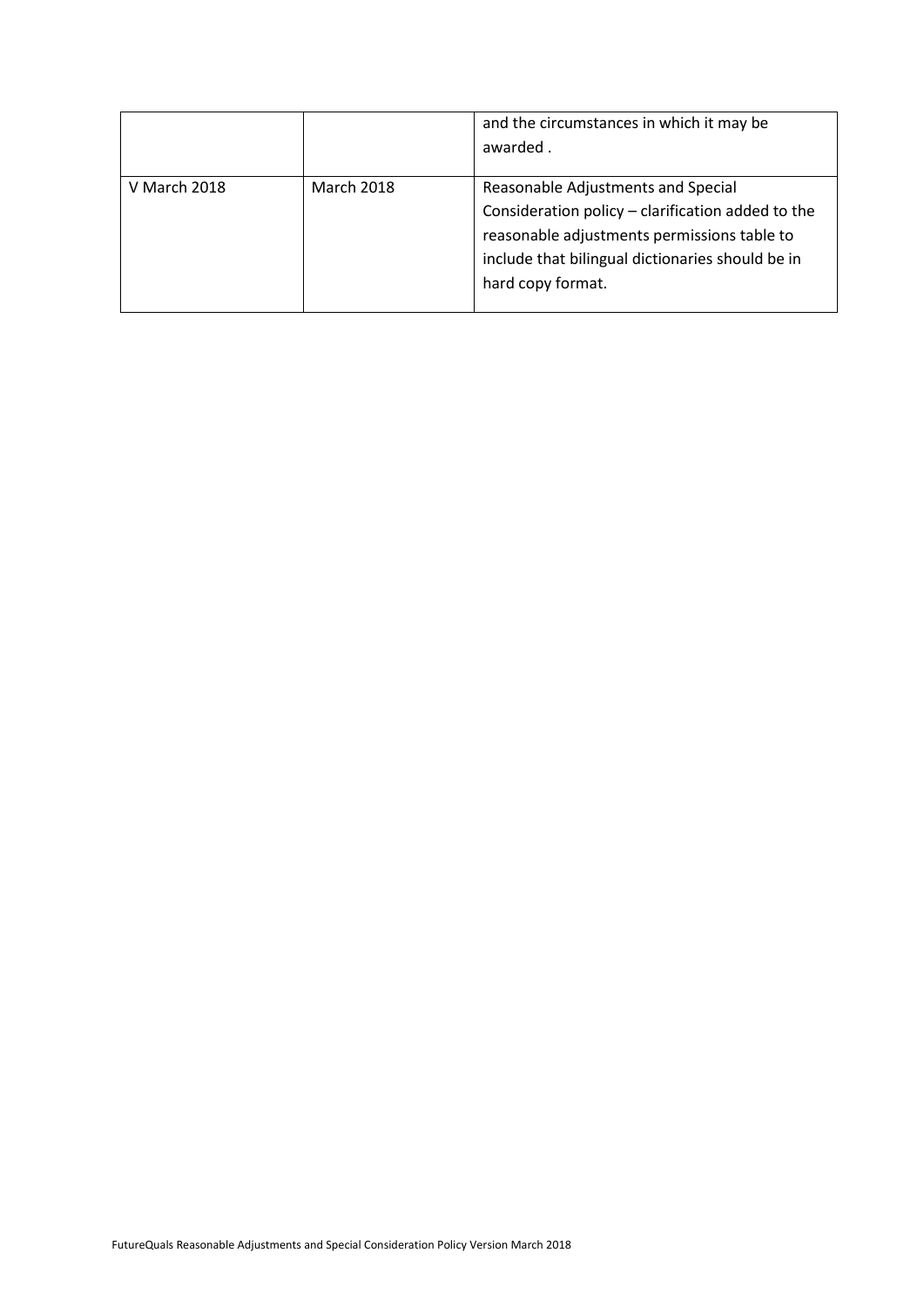|              |                   | and the circumstances in which it may be<br>awarded.                                                                                                                                                            |
|--------------|-------------------|-----------------------------------------------------------------------------------------------------------------------------------------------------------------------------------------------------------------|
| V March 2018 | <b>March 2018</b> | Reasonable Adjustments and Special<br>Consideration policy - clarification added to the<br>reasonable adjustments permissions table to<br>include that bilingual dictionaries should be in<br>hard copy format. |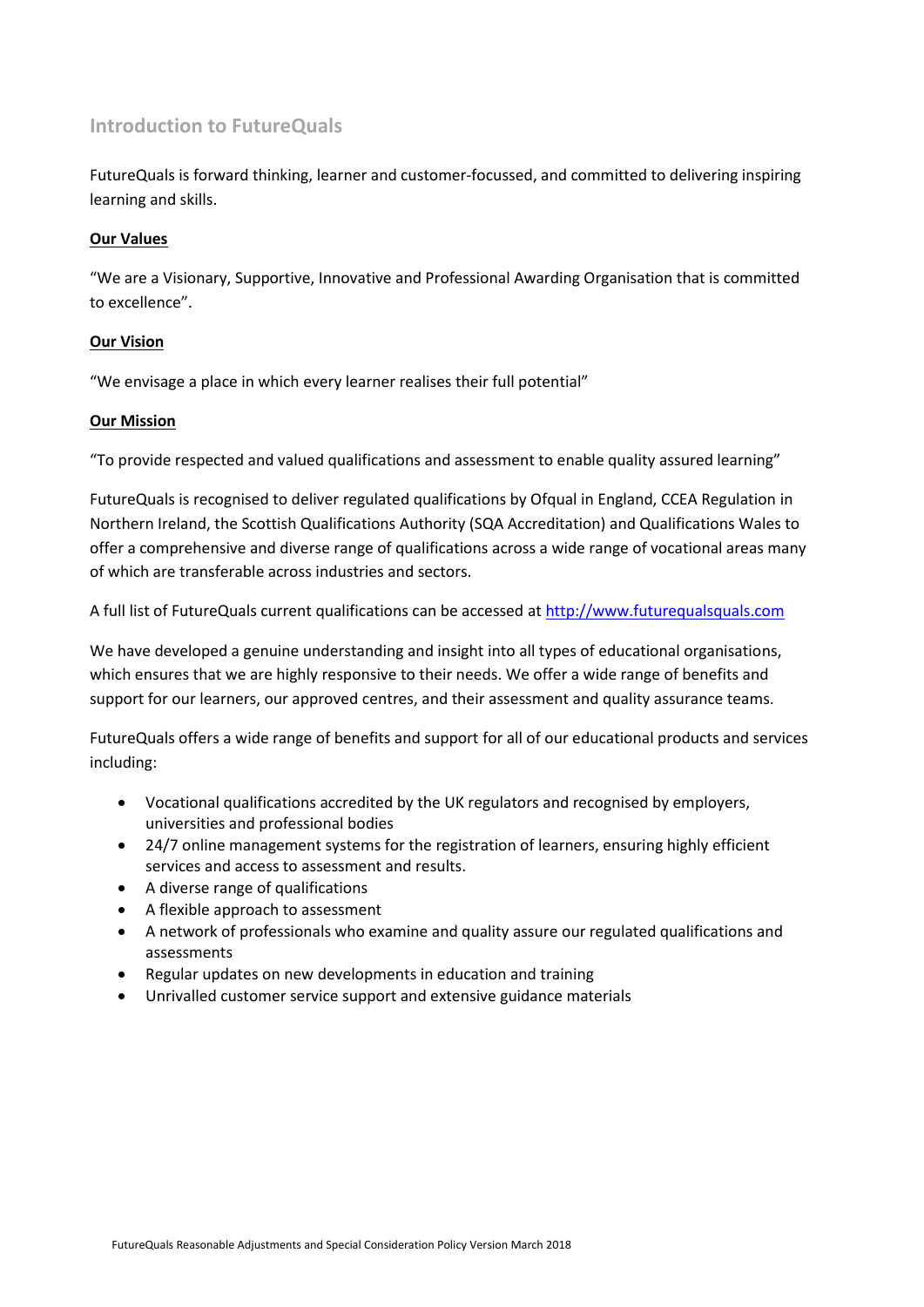## <span id="page-4-0"></span>**Introduction to FutureQuals**

FutureQuals is forward thinking, learner and customer-focussed, and committed to delivering inspiring learning and skills.

## **Our Values**

"We are a Visionary, Supportive, Innovative and Professional Awarding Organisation that is committed to excellence".

## **Our Vision**

"We envisage a place in which every learner realises their full potential"

## **Our Mission**

"To provide respected and valued qualifications and assessment to enable quality assured learning"

FutureQuals is recognised to deliver regulated qualifications by Ofqual in England, CCEA Regulation in Northern Ireland, the Scottish Qualifications Authority (SQA Accreditation) and Qualifications Wales to offer a comprehensive and diverse range of qualifications across a wide range of vocational areas many of which are transferable across industries and sectors.

A full list of FutureQuals current qualifications can be accessed a[t http://www.futurequalsquals.com](http://www.futurequalsquals.com/)

We have developed a genuine understanding and insight into all types of educational organisations, which ensures that we are highly responsive to their needs. We offer a wide range of benefits and support for our learners, our approved centres, and their assessment and quality assurance teams.

FutureQuals offers a wide range of benefits and support for all of our educational products and services including:

- Vocational qualifications accredited by the UK regulators and recognised by employers, universities and professional bodies
- 24/7 online management systems for the registration of learners, ensuring highly efficient services and access to assessment and results.
- A diverse range of qualifications
- A flexible approach to assessment
- A network of professionals who examine and quality assure our regulated qualifications and assessments
- Regular updates on new developments in education and training
- Unrivalled customer service support and extensive guidance materials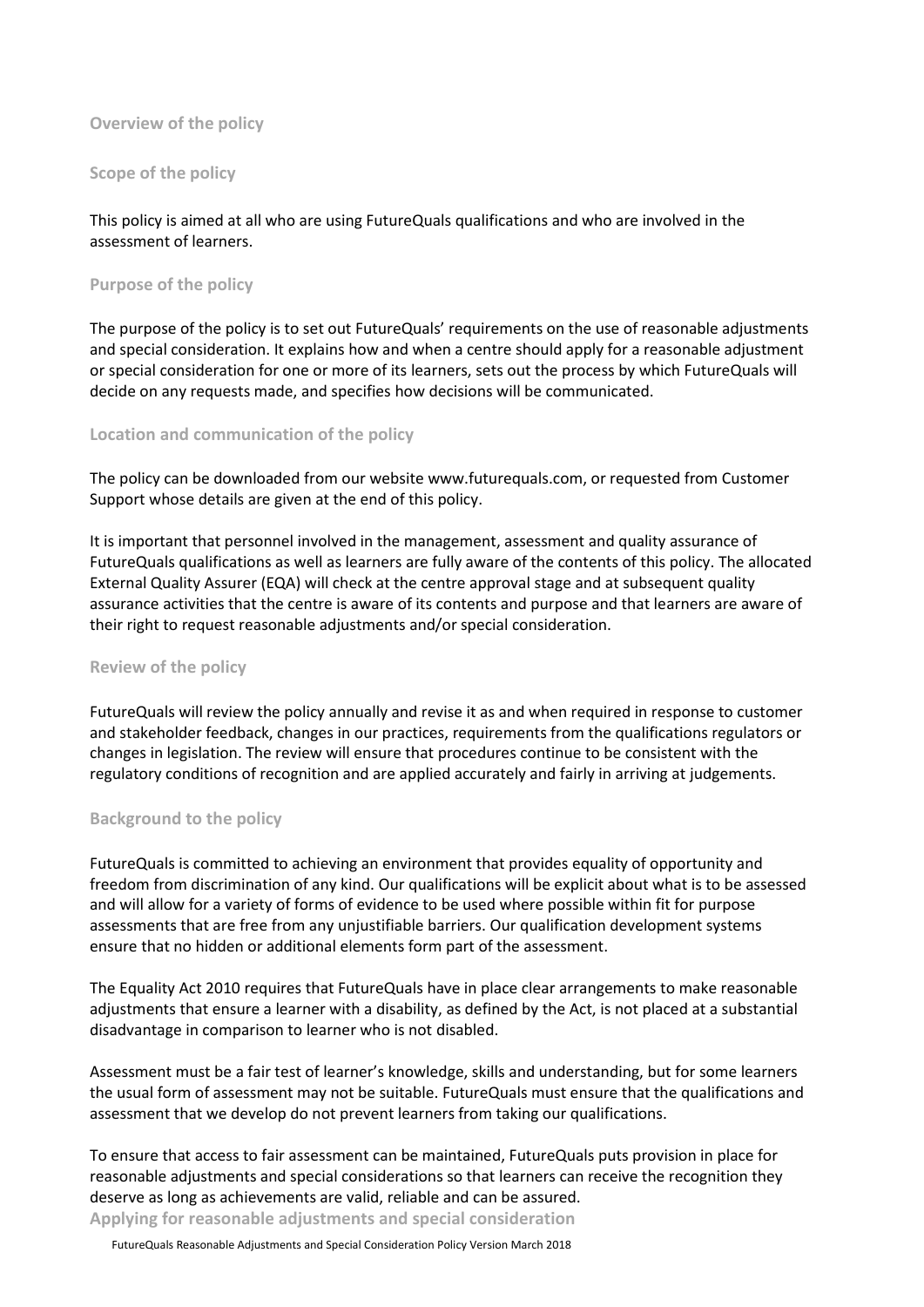## <span id="page-5-0"></span>**Overview of the policy**

#### <span id="page-5-1"></span>**Scope of the policy**

## This policy is aimed at all who are using FutureQuals qualifications and who are involved in the assessment of learners.

#### <span id="page-5-2"></span>**Purpose of the policy**

The purpose of the policy is to set out FutureQuals' requirements on the use of reasonable adjustments and special consideration. It explains how and when a centre should apply for a reasonable adjustment or special consideration for one or more of its learners, sets out the process by which FutureQuals will decide on any requests made, and specifies how decisions will be communicated.

#### <span id="page-5-3"></span>**Location and communication of the policy**

The policy can be downloaded from our website www.futurequals.com, or requested from Customer Support whose details are given at the end of this policy.

It is important that personnel involved in the management, assessment and quality assurance of FutureQuals qualifications as well as learners are fully aware of the contents of this policy. The allocated External Quality Assurer (EQA) will check at the centre approval stage and at subsequent quality assurance activities that the centre is aware of its contents and purpose and that learners are aware of their right to request reasonable adjustments and/or special consideration.

#### <span id="page-5-4"></span>**Review of the policy**

FutureQuals will review the policy annually and revise it as and when required in response to customer and stakeholder feedback, changes in our practices, requirements from the qualifications regulators or changes in legislation. The review will ensure that procedures continue to be consistent with the regulatory conditions of recognition and are applied accurately and fairly in arriving at judgements.

#### <span id="page-5-5"></span>**Background to the policy**

FutureQuals is committed to achieving an environment that provides equality of opportunity and freedom from discrimination of any kind. Our qualifications will be explicit about what is to be assessed and will allow for a variety of forms of evidence to be used where possible within fit for purpose assessments that are free from any unjustifiable barriers. Our qualification development systems ensure that no hidden or additional elements form part of the assessment.

The Equality Act 2010 requires that FutureQuals have in place clear arrangements to make reasonable adjustments that ensure a learner with a disability, as defined by the Act, is not placed at a substantial disadvantage in comparison to learner who is not disabled.

Assessment must be a fair test of learner's knowledge, skills and understanding, but for some learners the usual form of assessment may not be suitable. FutureQuals must ensure that the qualifications and assessment that we develop do not prevent learners from taking our qualifications.

To ensure that access to fair assessment can be maintained, FutureQuals puts provision in place for reasonable adjustments and special considerations so that learners can receive the recognition they deserve as long as achievements are valid, reliable and can be assured.

<span id="page-5-6"></span>**Applying for reasonable adjustments and special consideration**

FutureQuals Reasonable Adjustments and Special Consideration Policy Version March 2018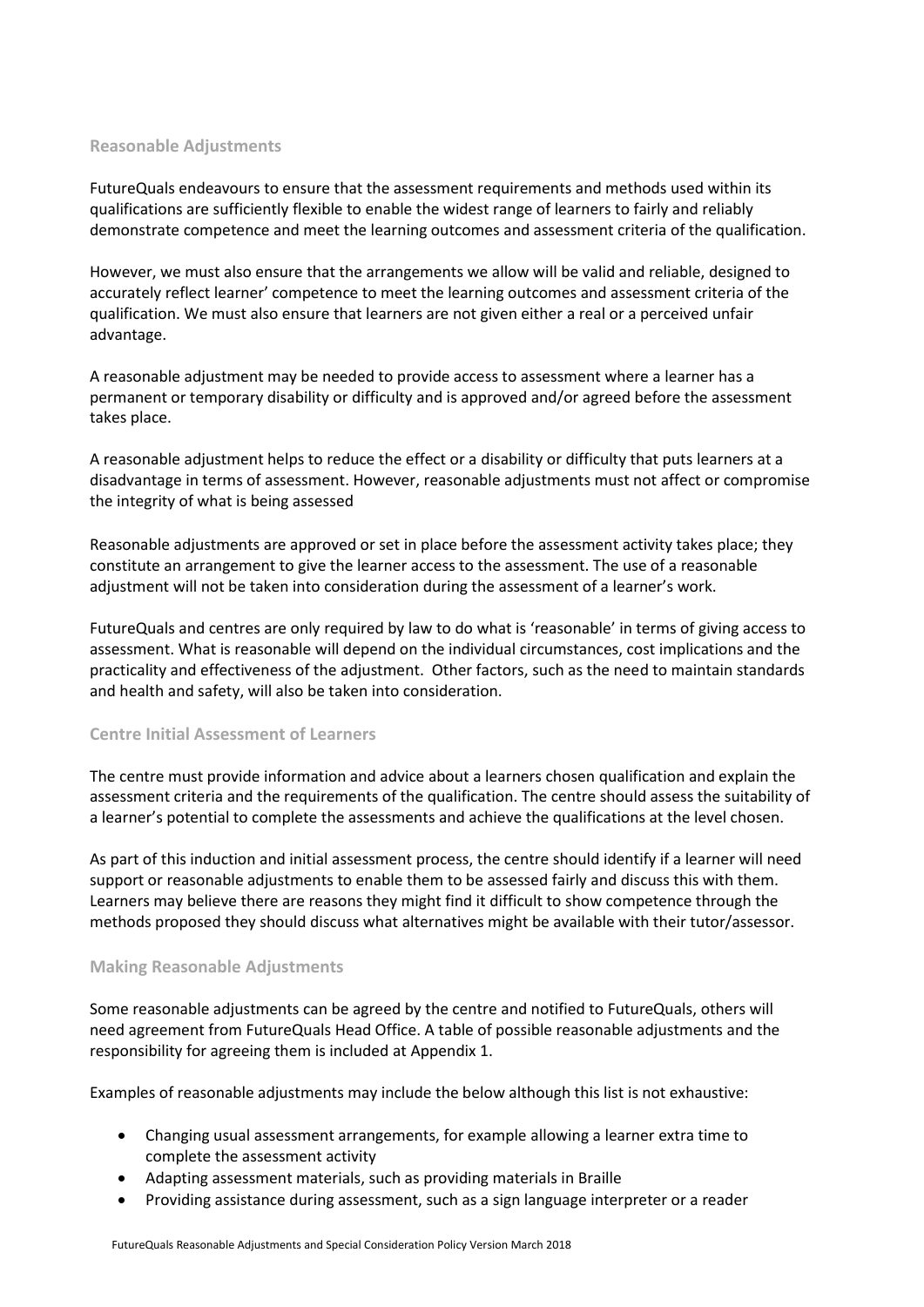#### <span id="page-6-0"></span>**Reasonable Adjustments**

FutureQuals endeavours to ensure that the assessment requirements and methods used within its qualifications are sufficiently flexible to enable the widest range of learners to fairly and reliably demonstrate competence and meet the learning outcomes and assessment criteria of the qualification.

However, we must also ensure that the arrangements we allow will be valid and reliable, designed to accurately reflect learner' competence to meet the learning outcomes and assessment criteria of the qualification. We must also ensure that learners are not given either a real or a perceived unfair advantage.

A reasonable adjustment may be needed to provide access to assessment where a learner has a permanent or temporary disability or difficulty and is approved and/or agreed before the assessment takes place.

A reasonable adjustment helps to reduce the effect or a disability or difficulty that puts learners at a disadvantage in terms of assessment. However, reasonable adjustments must not affect or compromise the integrity of what is being assessed

Reasonable adjustments are approved or set in place before the assessment activity takes place; they constitute an arrangement to give the learner access to the assessment. The use of a reasonable adjustment will not be taken into consideration during the assessment of a learner's work.

FutureQuals and centres are only required by law to do what is 'reasonable' in terms of giving access to assessment. What is reasonable will depend on the individual circumstances, cost implications and the practicality and effectiveness of the adjustment. Other factors, such as the need to maintain standards and health and safety, will also be taken into consideration.

#### <span id="page-6-1"></span>**Centre Initial Assessment of Learners**

The centre must provide information and advice about a learners chosen qualification and explain the assessment criteria and the requirements of the qualification. The centre should assess the suitability of a learner's potential to complete the assessments and achieve the qualifications at the level chosen.

As part of this induction and initial assessment process, the centre should identify if a learner will need support or reasonable adjustments to enable them to be assessed fairly and discuss this with them. Learners may believe there are reasons they might find it difficult to show competence through the methods proposed they should discuss what alternatives might be available with their tutor/assessor.

#### <span id="page-6-2"></span>**Making Reasonable Adjustments**

Some reasonable adjustments can be agreed by the centre and notified to FutureQuals, others will need agreement from FutureQuals Head Office. A table of possible reasonable adjustments and the responsibility for agreeing them is included at Appendix 1.

Examples of reasonable adjustments may include the below although this list is not exhaustive:

- Changing usual assessment arrangements, for example allowing a learner extra time to complete the assessment activity
- Adapting assessment materials, such as providing materials in Braille
- Providing assistance during assessment, such as a sign language interpreter or a reader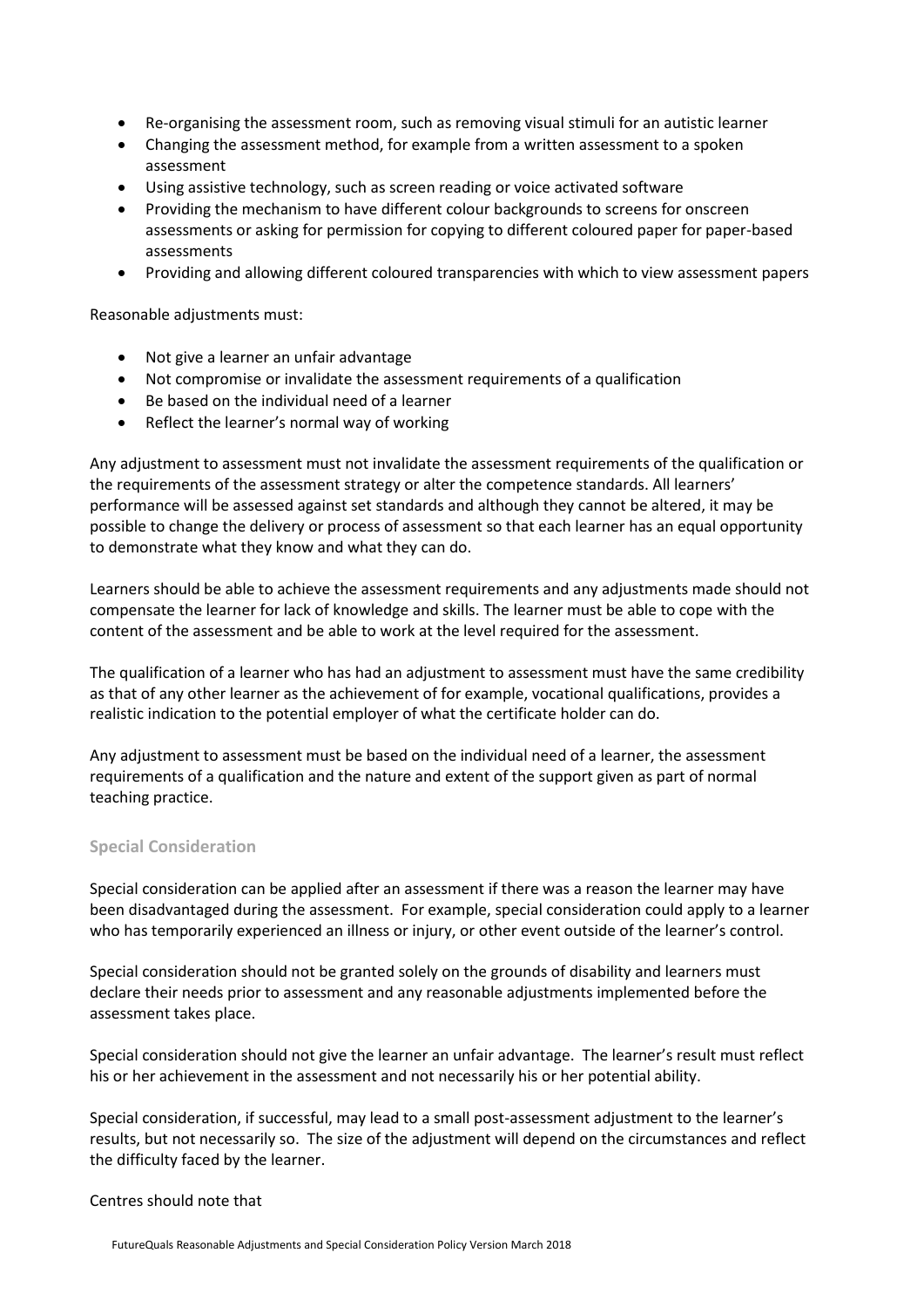- Re-organising the assessment room, such as removing visual stimuli for an autistic learner
- Changing the assessment method, for example from a written assessment to a spoken assessment
- Using assistive technology, such as screen reading or voice activated software
- Providing the mechanism to have different colour backgrounds to screens for onscreen assessments or asking for permission for copying to different coloured paper for paper-based assessments
- Providing and allowing different coloured transparencies with which to view assessment papers

Reasonable adjustments must:

- Not give a learner an unfair advantage
- Not compromise or invalidate the assessment requirements of a qualification
- Be based on the individual need of a learner
- Reflect the learner's normal way of working

Any adjustment to assessment must not invalidate the assessment requirements of the qualification or the requirements of the assessment strategy or alter the competence standards. All learners' performance will be assessed against set standards and although they cannot be altered, it may be possible to change the delivery or process of assessment so that each learner has an equal opportunity to demonstrate what they know and what they can do.

Learners should be able to achieve the assessment requirements and any adjustments made should not compensate the learner for lack of knowledge and skills. The learner must be able to cope with the content of the assessment and be able to work at the level required for the assessment.

The qualification of a learner who has had an adjustment to assessment must have the same credibility as that of any other learner as the achievement of for example, vocational qualifications, provides a realistic indication to the potential employer of what the certificate holder can do.

Any adjustment to assessment must be based on the individual need of a learner, the assessment requirements of a qualification and the nature and extent of the support given as part of normal teaching practice.

#### <span id="page-7-0"></span>**Special Consideration**

Special consideration can be applied after an assessment if there was a reason the learner may have been disadvantaged during the assessment. For example, special consideration could apply to a learner who has temporarily experienced an illness or injury, or other event outside of the learner's control.

Special consideration should not be granted solely on the grounds of disability and learners must declare their needs prior to assessment and any reasonable adjustments implemented before the assessment takes place.

Special consideration should not give the learner an unfair advantage. The learner's result must reflect his or her achievement in the assessment and not necessarily his or her potential ability.

Special consideration, if successful, may lead to a small post-assessment adjustment to the learner's results, but not necessarily so. The size of the adjustment will depend on the circumstances and reflect the difficulty faced by the learner.

#### Centres should note that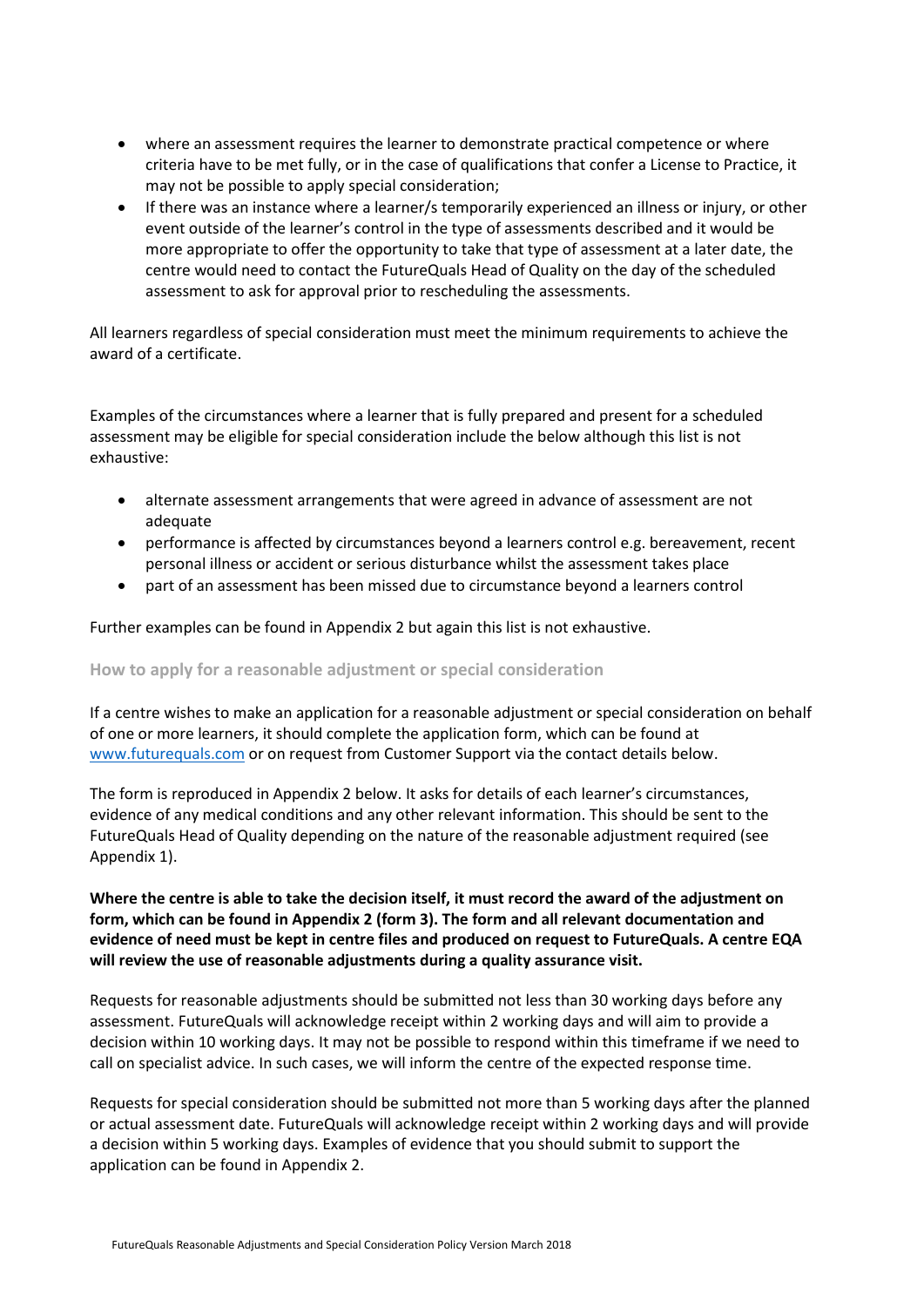- where an assessment requires the learner to demonstrate practical competence or where criteria have to be met fully, or in the case of qualifications that confer a License to Practice, it may not be possible to apply special consideration;
- If there was an instance where a learner/s temporarily experienced an illness or injury, or other event outside of the learner's control in the type of assessments described and it would be more appropriate to offer the opportunity to take that type of assessment at a later date, the centre would need to contact the FutureQuals Head of Quality on the day of the scheduled assessment to ask for approval prior to rescheduling the assessments.

All learners regardless of special consideration must meet the minimum requirements to achieve the award of a certificate.

Examples of the circumstances where a learner that is fully prepared and present for a scheduled assessment may be eligible for special consideration include the below although this list is not exhaustive:

- alternate assessment arrangements that were agreed in advance of assessment are not adequate
- performance is affected by circumstances beyond a learners control e.g. bereavement, recent personal illness or accident or serious disturbance whilst the assessment takes place
- part of an assessment has been missed due to circumstance beyond a learners control

Further examples can be found in Appendix 2 but again this list is not exhaustive.

#### <span id="page-8-0"></span>**How to apply for a reasonable adjustment or special consideration**

If a centre wishes to make an application for a reasonable adjustment or special consideration on behalf of one or more learners, it should complete the application form, which can be found at [www.futurequals.com](http://www.futurequals.com/) or on request from Customer Support via the contact details below.

The form is reproduced in Appendix 2 below. It asks for details of each learner's circumstances, evidence of any medical conditions and any other relevant information. This should be sent to the FutureQuals Head of Quality depending on the nature of the reasonable adjustment required (see Appendix 1).

## **Where the centre is able to take the decision itself, it must record the award of the adjustment on form, which can be found in Appendix 2 (form 3). The form and all relevant documentation and evidence of need must be kept in centre files and produced on request to FutureQuals. A centre EQA will review the use of reasonable adjustments during a quality assurance visit.**

Requests for reasonable adjustments should be submitted not less than 30 working days before any assessment. FutureQuals will acknowledge receipt within 2 working days and will aim to provide a decision within 10 working days. It may not be possible to respond within this timeframe if we need to call on specialist advice. In such cases, we will inform the centre of the expected response time.

Requests for special consideration should be submitted not more than 5 working days after the planned or actual assessment date. FutureQuals will acknowledge receipt within 2 working days and will provide a decision within 5 working days. Examples of evidence that you should submit to support the application can be found in Appendix 2.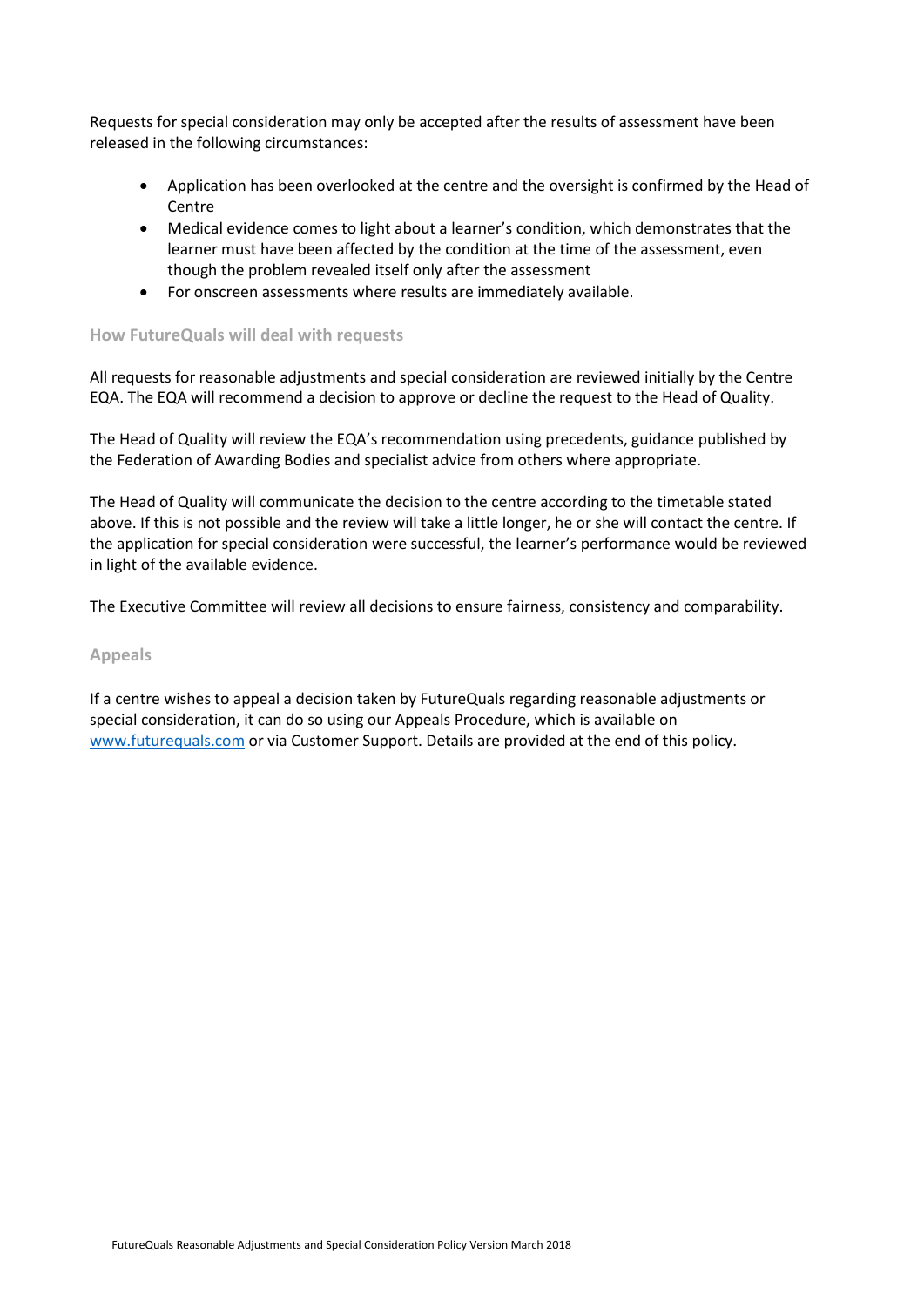Requests for special consideration may only be accepted after the results of assessment have been released in the following circumstances:

- Application has been overlooked at the centre and the oversight is confirmed by the Head of Centre
- Medical evidence comes to light about a learner's condition, which demonstrates that the learner must have been affected by the condition at the time of the assessment, even though the problem revealed itself only after the assessment
- For onscreen assessments where results are immediately available.

#### <span id="page-9-0"></span>**How FutureQuals will deal with requests**

All requests for reasonable adjustments and special consideration are reviewed initially by the Centre EQA. The EQA will recommend a decision to approve or decline the request to the Head of Quality.

The Head of Quality will review the EQA's recommendation using precedents, guidance published by the Federation of Awarding Bodies and specialist advice from others where appropriate.

The Head of Quality will communicate the decision to the centre according to the timetable stated above. If this is not possible and the review will take a little longer, he or she will contact the centre. If the application for special consideration were successful, the learner's performance would be reviewed in light of the available evidence.

<span id="page-9-1"></span>The Executive Committee will review all decisions to ensure fairness, consistency and comparability.

#### **Appeals**

If a centre wishes to appeal a decision taken by FutureQuals regarding reasonable adjustments or special consideration, it can do so using our Appeals Procedure, which is available on [www.futurequals.com](http://www.futurequals.com/) or via Customer Support. Details are provided at the end of this policy.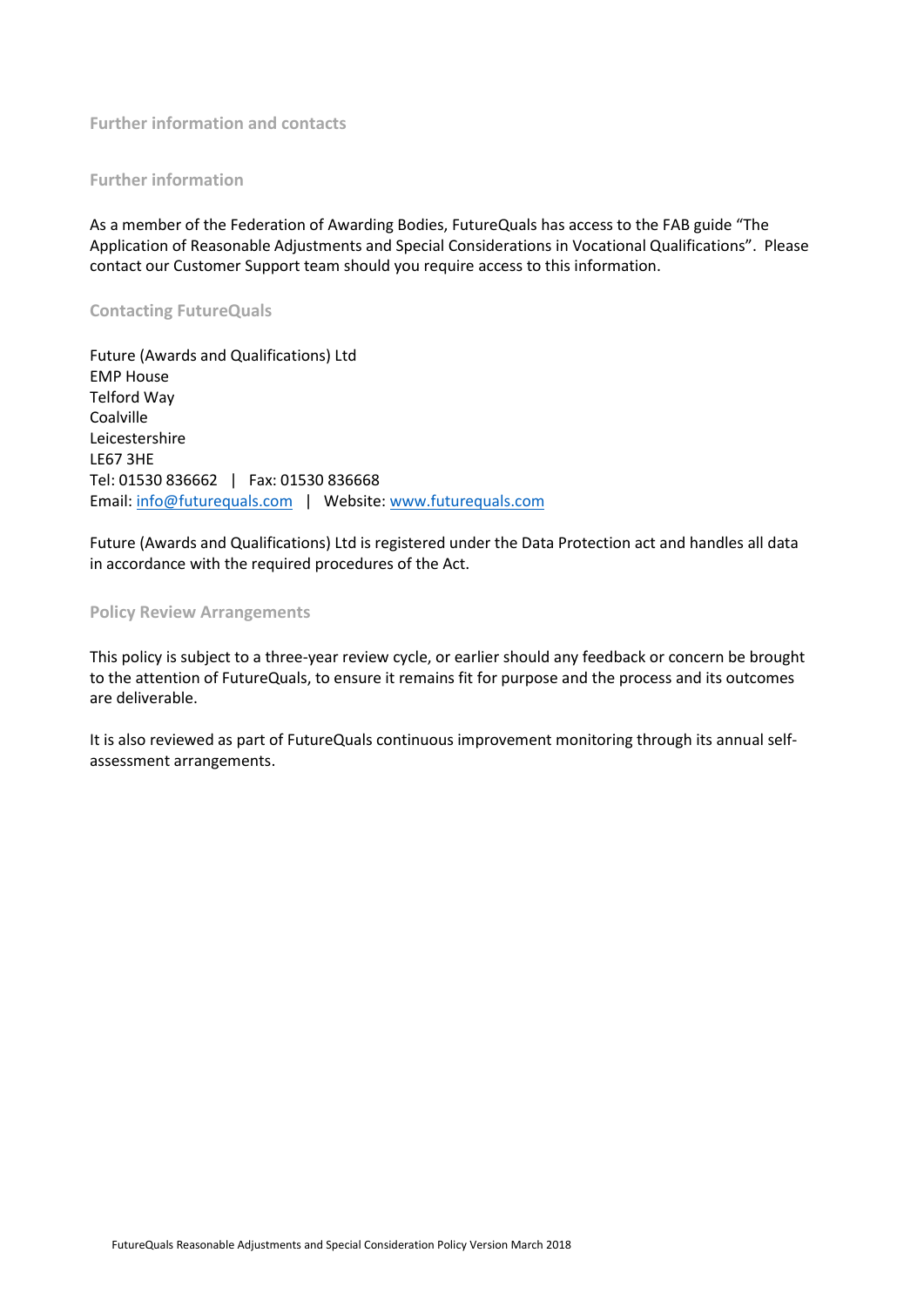<span id="page-10-0"></span>**Further information and contacts**

## <span id="page-10-1"></span>**Further information**

As a member of the Federation of Awarding Bodies, FutureQuals has access to the FAB guide "The Application of Reasonable Adjustments and Special Considerations in Vocational Qualifications". Please contact our Customer Support team should you require access to this information.

#### <span id="page-10-2"></span>**Contacting FutureQuals**

Future (Awards and Qualifications) Ltd EMP House Telford Way Coalville Leicestershire LE67 3HE Tel: 01530 836662 | Fax: 01530 836668 Email[: info@futurequals.com](mailto:info@futurequals.com) | Website: [www.futurequals.com](http://www.futurequals.com/)

Future (Awards and Qualifications) Ltd is registered under the Data Protection act and handles all data in accordance with the required procedures of the Act.

#### <span id="page-10-3"></span>**Policy Review Arrangements**

This policy is subject to a three-year review cycle, or earlier should any feedback or concern be brought to the attention of FutureQuals, to ensure it remains fit for purpose and the process and its outcomes are deliverable.

It is also reviewed as part of FutureQuals continuous improvement monitoring through its annual selfassessment arrangements.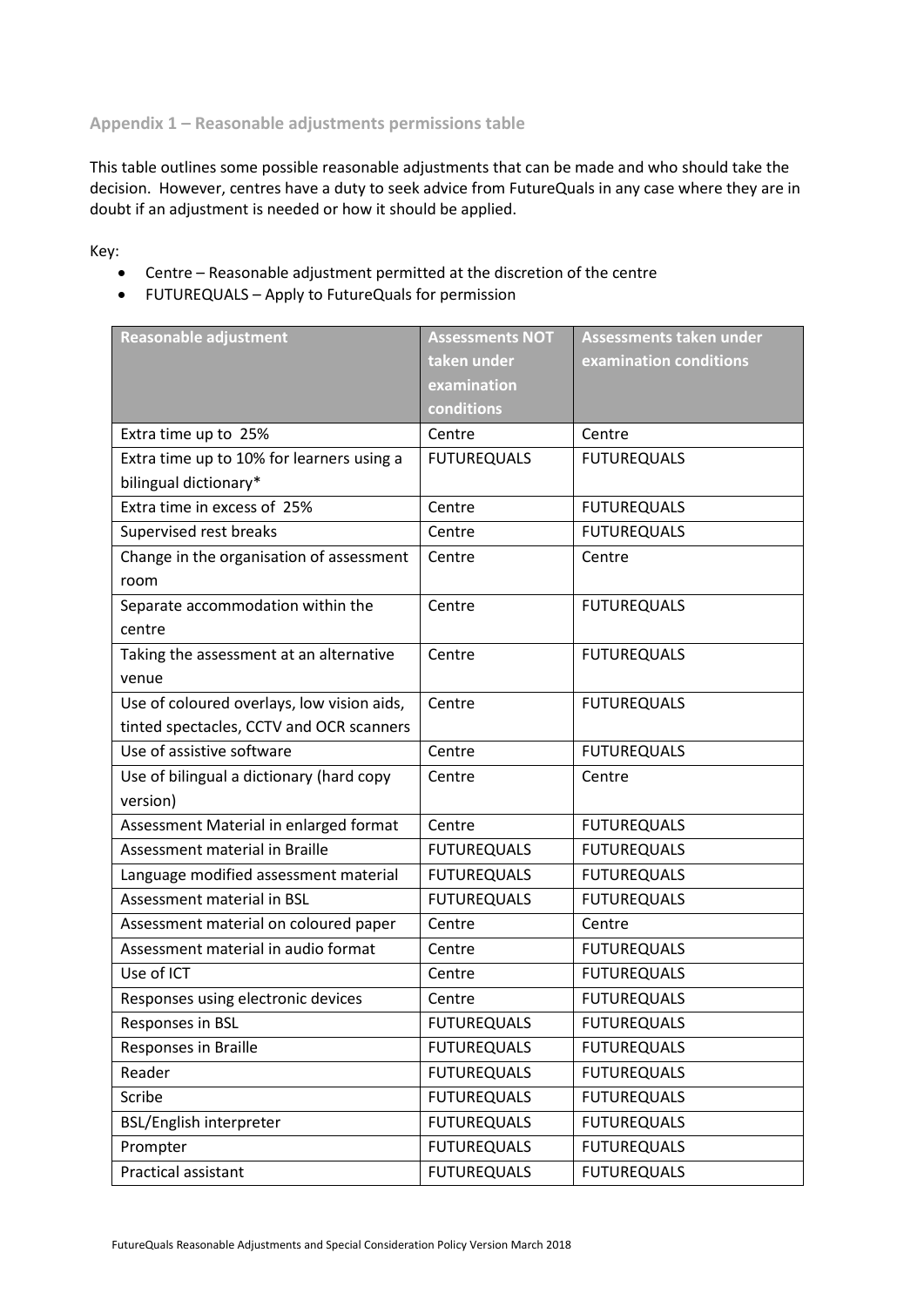<span id="page-11-0"></span>**Appendix 1 – Reasonable adjustments permissions table**

This table outlines some possible reasonable adjustments that can be made and who should take the decision. However, centres have a duty to seek advice from FutureQuals in any case where they are in doubt if an adjustment is needed or how it should be applied.

Key:

- Centre Reasonable adjustment permitted at the discretion of the centre
- FUTUREQUALS Apply to FutureQuals for permission

| <b>Reasonable adjustment</b>               | <b>Assessments NOT</b> | <b>Assessments taken under</b> |
|--------------------------------------------|------------------------|--------------------------------|
|                                            | taken under            | examination conditions         |
|                                            | examination            |                                |
|                                            | conditions             |                                |
| Extra time up to 25%                       | Centre                 | Centre                         |
| Extra time up to 10% for learners using a  | <b>FUTUREQUALS</b>     | <b>FUTUREQUALS</b>             |
| bilingual dictionary*                      |                        |                                |
| Extra time in excess of 25%                | Centre                 | <b>FUTUREQUALS</b>             |
| Supervised rest breaks                     | Centre                 | <b>FUTUREQUALS</b>             |
| Change in the organisation of assessment   | Centre                 | Centre                         |
| room                                       |                        |                                |
| Separate accommodation within the          | Centre                 | <b>FUTUREQUALS</b>             |
| centre                                     |                        |                                |
| Taking the assessment at an alternative    | Centre                 | <b>FUTUREQUALS</b>             |
| venue                                      |                        |                                |
| Use of coloured overlays, low vision aids, | Centre                 | <b>FUTUREQUALS</b>             |
| tinted spectacles, CCTV and OCR scanners   |                        |                                |
| Use of assistive software                  | Centre                 | <b>FUTUREQUALS</b>             |
| Use of bilingual a dictionary (hard copy   | Centre                 | Centre                         |
| version)                                   |                        |                                |
| Assessment Material in enlarged format     | Centre                 | <b>FUTUREQUALS</b>             |
| Assessment material in Braille             | <b>FUTUREQUALS</b>     | <b>FUTUREQUALS</b>             |
| Language modified assessment material      | <b>FUTUREQUALS</b>     | <b>FUTUREQUALS</b>             |
| Assessment material in BSL                 | <b>FUTUREQUALS</b>     | <b>FUTUREQUALS</b>             |
| Assessment material on coloured paper      | Centre                 | Centre                         |
| Assessment material in audio format        | Centre                 | <b>FUTUREQUALS</b>             |
| Use of ICT                                 | Centre                 | <b>FUTUREQUALS</b>             |
| Responses using electronic devices         | Centre                 | <b>FUTUREQUALS</b>             |
| Responses in BSL                           | <b>FUTUREQUALS</b>     | <b>FUTUREQUALS</b>             |
| Responses in Braille                       | <b>FUTUREQUALS</b>     | <b>FUTUREQUALS</b>             |
| Reader                                     | <b>FUTUREQUALS</b>     | <b>FUTUREQUALS</b>             |
| Scribe                                     | <b>FUTUREQUALS</b>     | <b>FUTUREQUALS</b>             |
| <b>BSL/English interpreter</b>             | <b>FUTUREQUALS</b>     | <b>FUTUREQUALS</b>             |
| Prompter                                   | <b>FUTUREQUALS</b>     | <b>FUTUREQUALS</b>             |
| Practical assistant                        | <b>FUTUREQUALS</b>     | <b>FUTUREQUALS</b>             |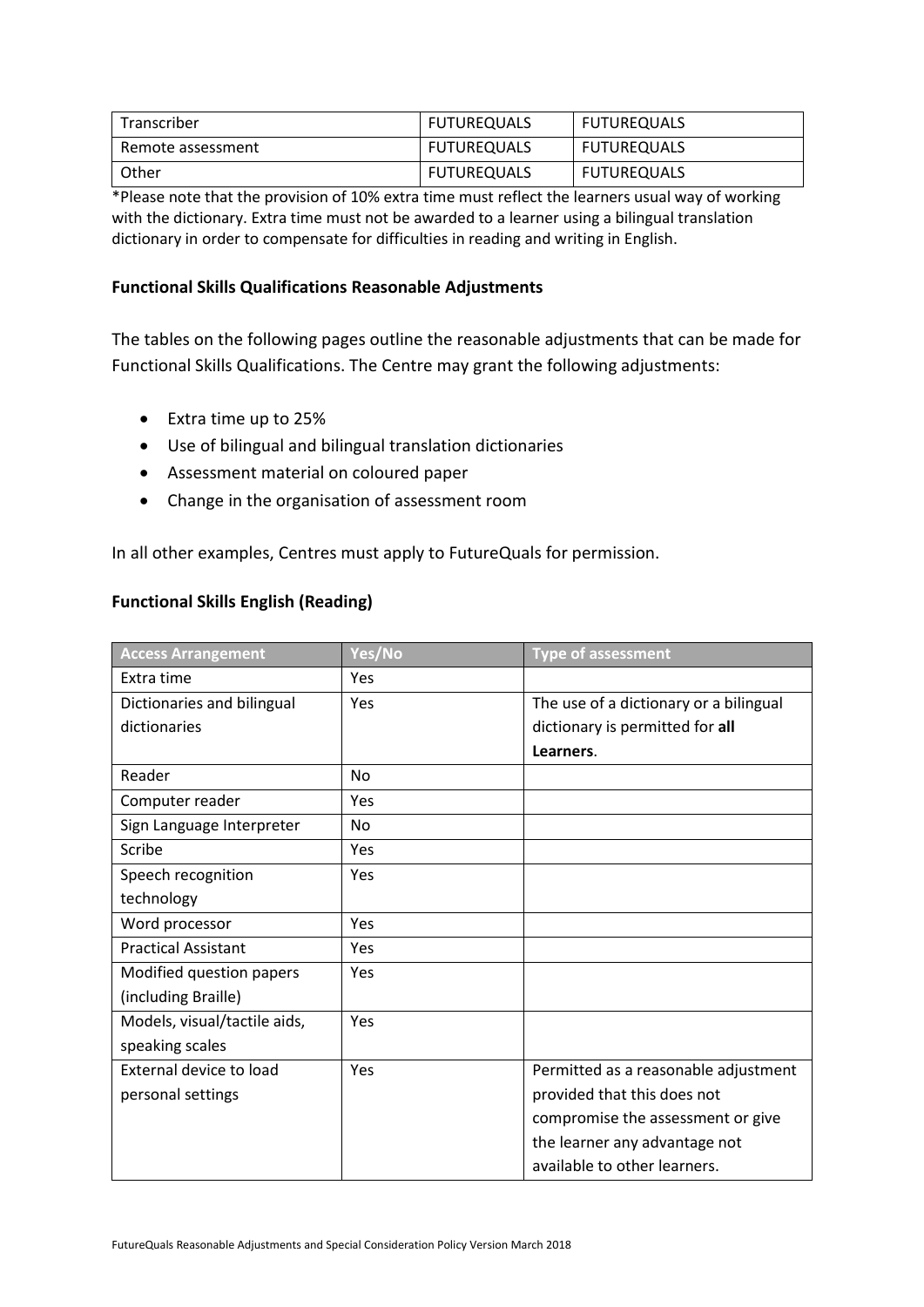| Transcriber       | <b>FUTUREQUALS</b> | <b>FUTUREQUALS</b> |
|-------------------|--------------------|--------------------|
| Remote assessment | <b>FUTUREQUALS</b> | <b>FUTUREQUALS</b> |
| Other             | <b>FUTUREQUALS</b> | <b>FUTUREQUALS</b> |

\*Please note that the provision of 10% extra time must reflect the learners usual way of working with the dictionary. Extra time must not be awarded to a learner using a bilingual translation dictionary in order to compensate for difficulties in reading and writing in English.

## **Functional Skills Qualifications Reasonable Adjustments**

The tables on the following pages outline the reasonable adjustments that can be made for Functional Skills Qualifications. The Centre may grant the following adjustments:

- Extra time up to 25%
- Use of bilingual and bilingual translation dictionaries
- Assessment material on coloured paper
- Change in the organisation of assessment room

In all other examples, Centres must apply to FutureQuals for permission.

## **Functional Skills English (Reading)**

| <b>Access Arrangement</b>    | Yes/No         | <b>Type of assessment</b>              |
|------------------------------|----------------|----------------------------------------|
| Extra time                   | <b>Yes</b>     |                                        |
| Dictionaries and bilingual   | Yes            | The use of a dictionary or a bilingual |
| dictionaries                 |                | dictionary is permitted for all        |
|                              |                | Learners.                              |
| Reader                       | No             |                                        |
| Computer reader              | <b>Yes</b>     |                                        |
| Sign Language Interpreter    | N <sub>o</sub> |                                        |
| Scribe                       | Yes            |                                        |
| Speech recognition           | Yes            |                                        |
| technology                   |                |                                        |
| Word processor               | Yes            |                                        |
| <b>Practical Assistant</b>   | <b>Yes</b>     |                                        |
| Modified question papers     | Yes            |                                        |
| (including Braille)          |                |                                        |
| Models, visual/tactile aids, | Yes            |                                        |
| speaking scales              |                |                                        |
| External device to load      | Yes            | Permitted as a reasonable adjustment   |
| personal settings            |                | provided that this does not            |
|                              |                | compromise the assessment or give      |
|                              |                | the learner any advantage not          |
|                              |                | available to other learners.           |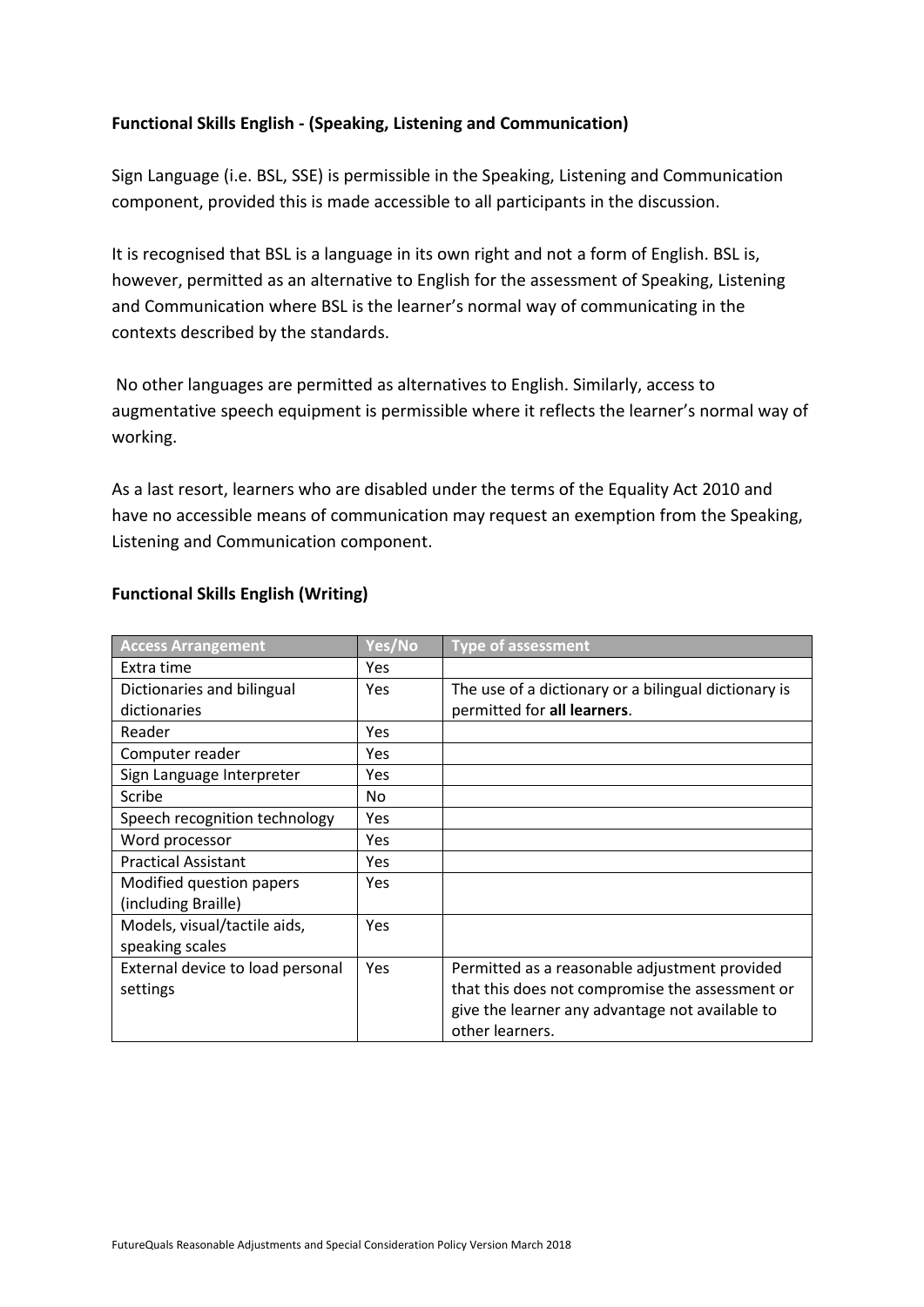## **Functional Skills English - (Speaking, Listening and Communication)**

Sign Language (i.e. BSL, SSE) is permissible in the Speaking, Listening and Communication component, provided this is made accessible to all participants in the discussion.

It is recognised that BSL is a language in its own right and not a form of English. BSL is, however, permitted as an alternative to English for the assessment of Speaking, Listening and Communication where BSL is the learner's normal way of communicating in the contexts described by the standards.

No other languages are permitted as alternatives to English. Similarly, access to augmentative speech equipment is permissible where it reflects the learner's normal way of working.

As a last resort, learners who are disabled under the terms of the Equality Act 2010 and have no accessible means of communication may request an exemption from the Speaking, Listening and Communication component.

| <b>Access Arrangement</b>        | Yes/No     | <b>Type of assessment</b>                            |
|----------------------------------|------------|------------------------------------------------------|
| Extra time                       | Yes        |                                                      |
| Dictionaries and bilingual       | <b>Yes</b> | The use of a dictionary or a bilingual dictionary is |
| dictionaries                     |            | permitted for all learners.                          |
| Reader                           | Yes        |                                                      |
| Computer reader                  | Yes        |                                                      |
| Sign Language Interpreter        | Yes        |                                                      |
| Scribe                           | No.        |                                                      |
| Speech recognition technology    | Yes        |                                                      |
| Word processor                   | Yes        |                                                      |
| <b>Practical Assistant</b>       | Yes        |                                                      |
| Modified question papers         | Yes        |                                                      |
| (including Braille)              |            |                                                      |
| Models, visual/tactile aids,     | <b>Yes</b> |                                                      |
| speaking scales                  |            |                                                      |
| External device to load personal | <b>Yes</b> | Permitted as a reasonable adjustment provided        |
| settings                         |            | that this does not compromise the assessment or      |
|                                  |            | give the learner any advantage not available to      |
|                                  |            | other learners.                                      |

## **Functional Skills English (Writing)**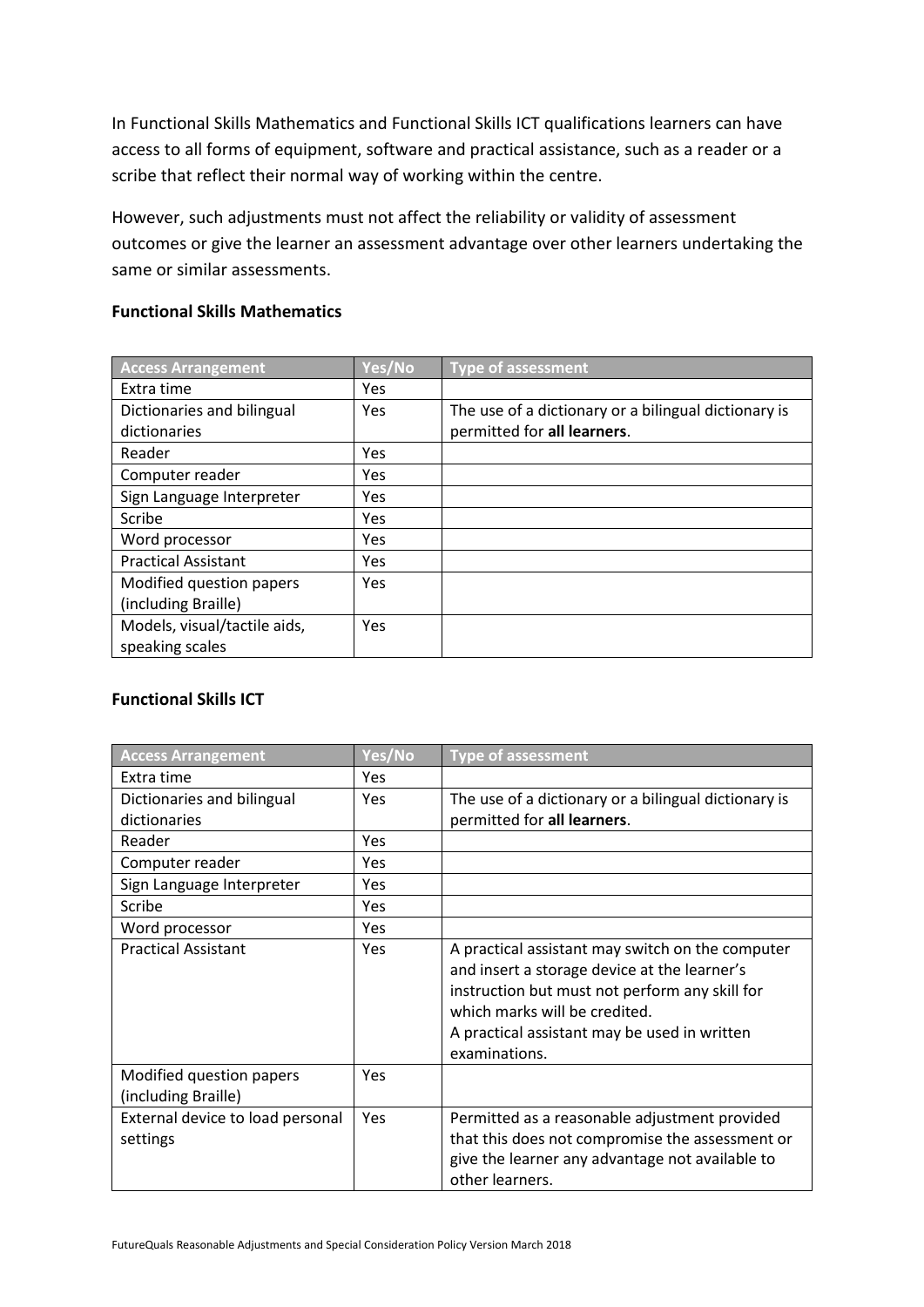In Functional Skills Mathematics and Functional Skills ICT qualifications learners can have access to all forms of equipment, software and practical assistance, such as a reader or a scribe that reflect their normal way of working within the centre.

However, such adjustments must not affect the reliability or validity of assessment outcomes or give the learner an assessment advantage over other learners undertaking the same or similar assessments.

## **Functional Skills Mathematics**

| <b>Access Arrangement</b>    | Yes/No | <b>Type of assessment</b>                            |
|------------------------------|--------|------------------------------------------------------|
| Extra time                   | Yes    |                                                      |
| Dictionaries and bilingual   | Yes    | The use of a dictionary or a bilingual dictionary is |
| dictionaries                 |        | permitted for all learners.                          |
| Reader                       | Yes    |                                                      |
| Computer reader              | Yes    |                                                      |
| Sign Language Interpreter    | Yes    |                                                      |
| Scribe                       | Yes    |                                                      |
| Word processor               | Yes    |                                                      |
| <b>Practical Assistant</b>   | Yes    |                                                      |
| Modified question papers     | Yes    |                                                      |
| (including Braille)          |        |                                                      |
| Models, visual/tactile aids, | Yes    |                                                      |
| speaking scales              |        |                                                      |

## **Functional Skills ICT**

| <b>Access Arrangement</b>                       | Yes/No     | <b>Type of assessment</b>                                                                                                                                                                                                                            |
|-------------------------------------------------|------------|------------------------------------------------------------------------------------------------------------------------------------------------------------------------------------------------------------------------------------------------------|
| Extra time                                      | <b>Yes</b> |                                                                                                                                                                                                                                                      |
| Dictionaries and bilingual                      | Yes        | The use of a dictionary or a bilingual dictionary is                                                                                                                                                                                                 |
| dictionaries                                    |            | permitted for all learners.                                                                                                                                                                                                                          |
| Reader                                          | Yes        |                                                                                                                                                                                                                                                      |
| Computer reader                                 | Yes        |                                                                                                                                                                                                                                                      |
| Sign Language Interpreter                       | Yes        |                                                                                                                                                                                                                                                      |
| Scribe                                          | Yes        |                                                                                                                                                                                                                                                      |
| Word processor                                  | <b>Yes</b> |                                                                                                                                                                                                                                                      |
| <b>Practical Assistant</b>                      | <b>Yes</b> | A practical assistant may switch on the computer<br>and insert a storage device at the learner's<br>instruction but must not perform any skill for<br>which marks will be credited.<br>A practical assistant may be used in written<br>examinations. |
| Modified question papers<br>(including Braille) | Yes        |                                                                                                                                                                                                                                                      |
| External device to load personal<br>settings    | Yes        | Permitted as a reasonable adjustment provided<br>that this does not compromise the assessment or<br>give the learner any advantage not available to<br>other learners.                                                                               |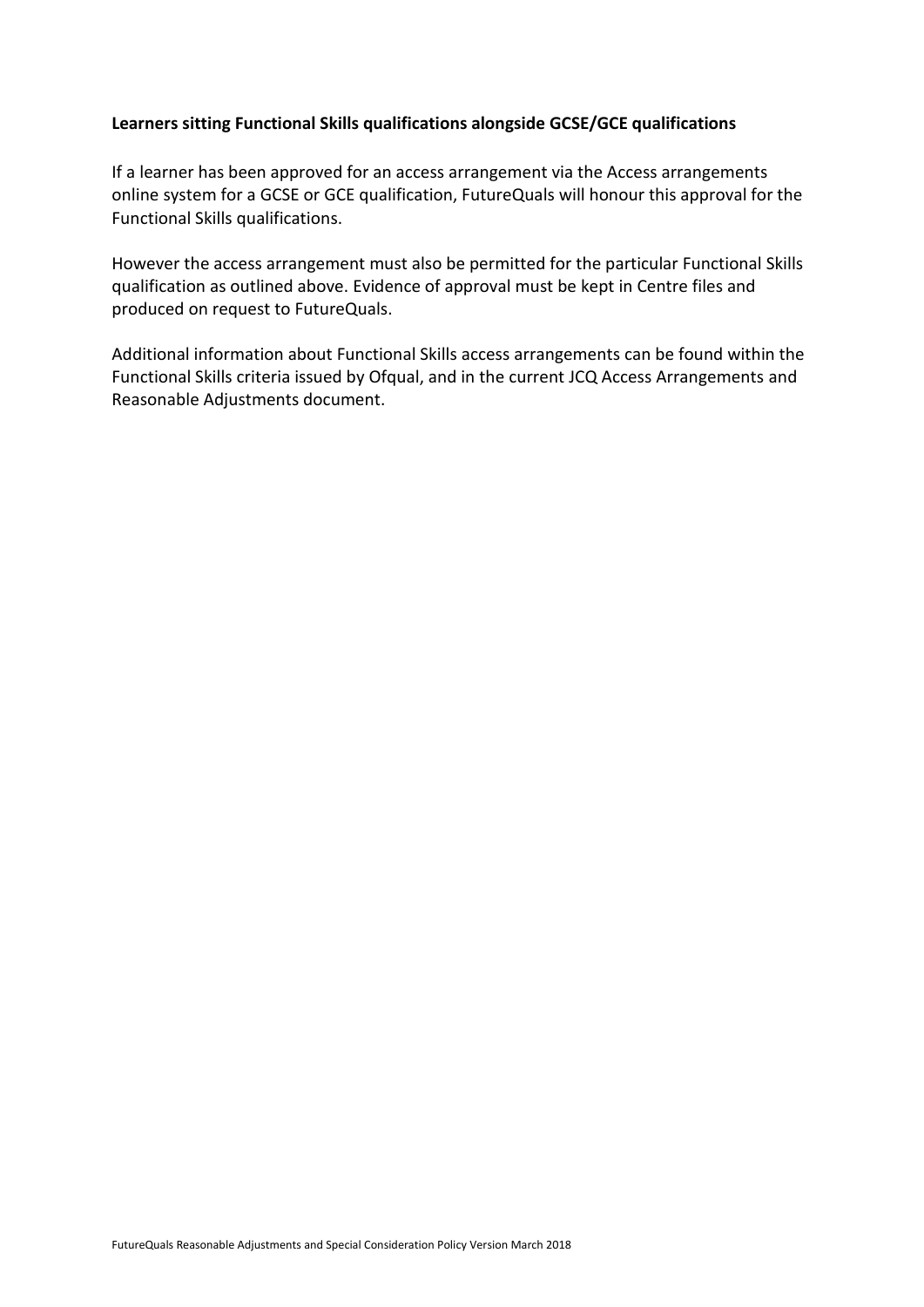## **Learners sitting Functional Skills qualifications alongside GCSE/GCE qualifications**

If a learner has been approved for an access arrangement via the Access arrangements online system for a GCSE or GCE qualification, FutureQuals will honour this approval for the Functional Skills qualifications.

However the access arrangement must also be permitted for the particular Functional Skills qualification as outlined above. Evidence of approval must be kept in Centre files and produced on request to FutureQuals.

Additional information about Functional Skills access arrangements can be found within the Functional Skills criteria issued by Ofqual, and in the current JCQ Access Arrangements and Reasonable Adjustments document.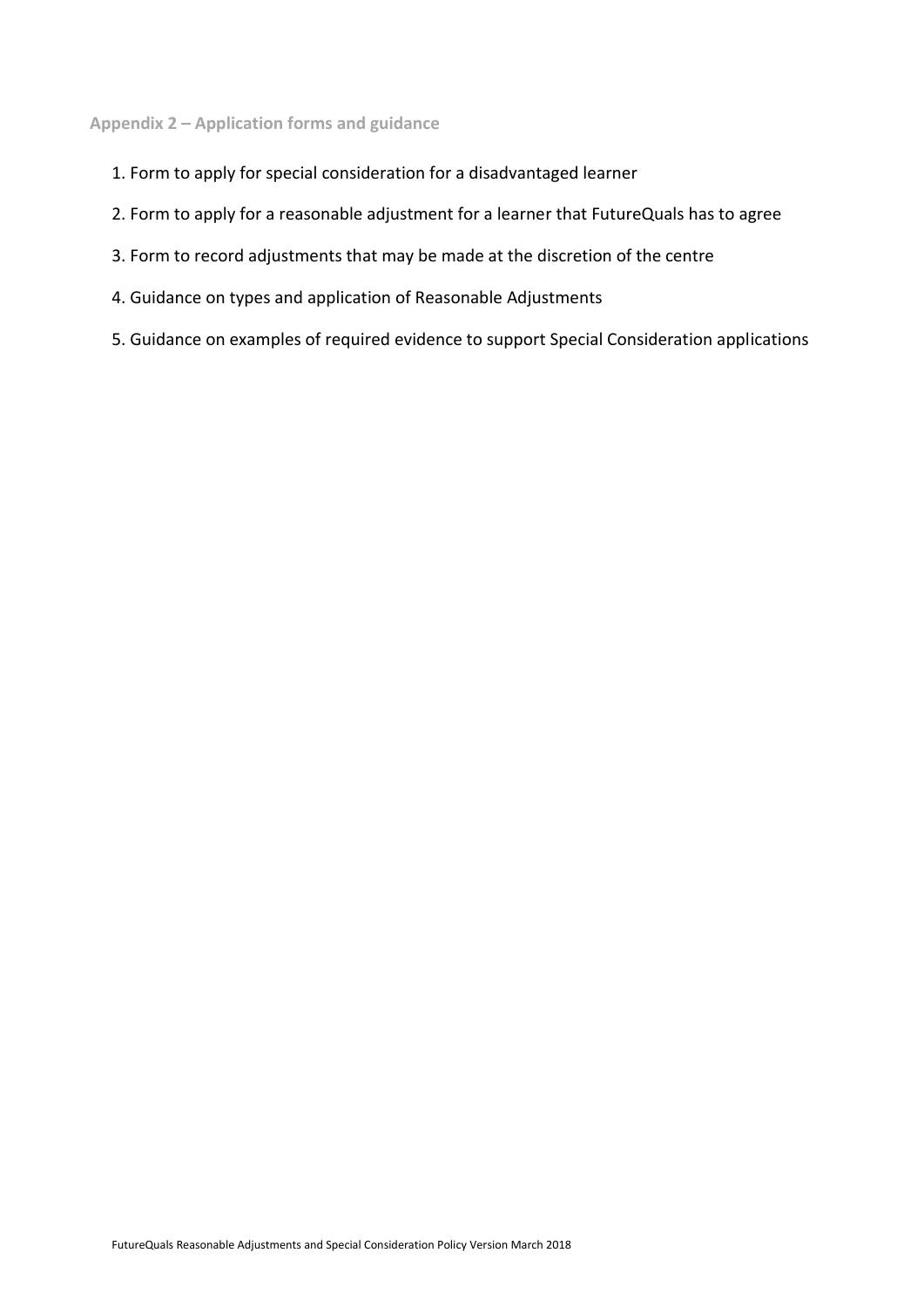## <span id="page-16-0"></span>**Appendix 2 – Application forms and guidance**

- 1. Form to apply for special consideration for a disadvantaged learner
- 2. Form to apply for a reasonable adjustment for a learner that FutureQuals has to agree
- 3. Form to record adjustments that may be made at the discretion of the centre
- 4. Guidance on types and application of Reasonable Adjustments
- 5. Guidance on examples of required evidence to support Special Consideration applications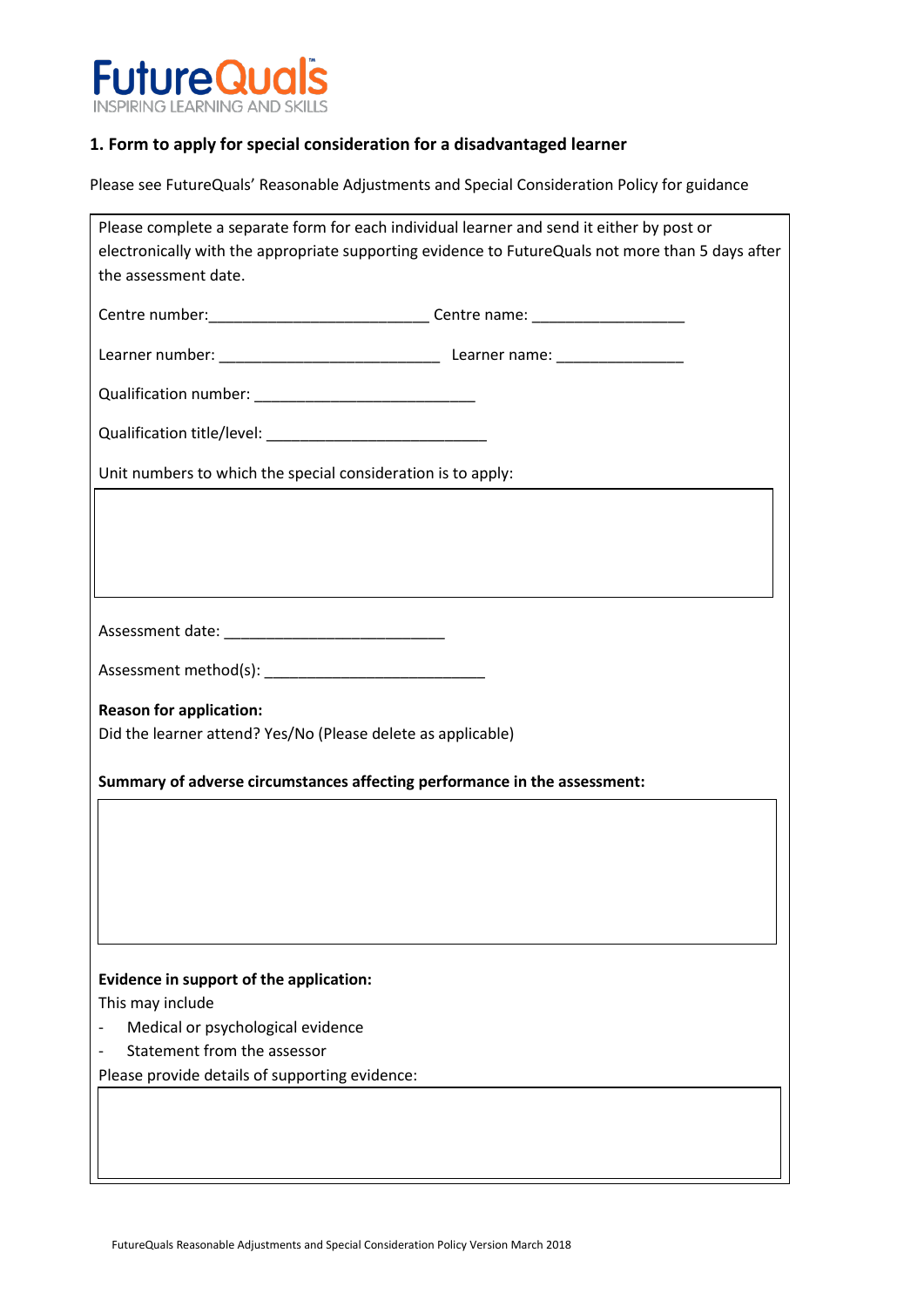

## **1. Form to apply for special consideration for a disadvantaged learner**

Please see FutureQuals' Reasonable Adjustments and Special Consideration Policy for guidance

| Please complete a separate form for each individual learner and send it either by post or         |
|---------------------------------------------------------------------------------------------------|
| electronically with the appropriate supporting evidence to FutureQuals not more than 5 days after |
| the assessment date.                                                                              |
|                                                                                                   |
| Centre number: __________________________________Centre name: __________________                  |
|                                                                                                   |
|                                                                                                   |
|                                                                                                   |
|                                                                                                   |
| Unit numbers to which the special consideration is to apply:                                      |
|                                                                                                   |
|                                                                                                   |
|                                                                                                   |
|                                                                                                   |
|                                                                                                   |
|                                                                                                   |
|                                                                                                   |
|                                                                                                   |
| <b>Reason for application:</b>                                                                    |
| Did the learner attend? Yes/No (Please delete as applicable)                                      |
|                                                                                                   |
| Summary of adverse circumstances affecting performance in the assessment:                         |
|                                                                                                   |
|                                                                                                   |
|                                                                                                   |
|                                                                                                   |
|                                                                                                   |
|                                                                                                   |
|                                                                                                   |
| Evidence in support of the application:                                                           |
| This may include                                                                                  |
| Medical or psychological evidence                                                                 |
| Statement from the assessor                                                                       |
| Please provide details of supporting evidence:                                                    |
|                                                                                                   |
|                                                                                                   |
|                                                                                                   |
|                                                                                                   |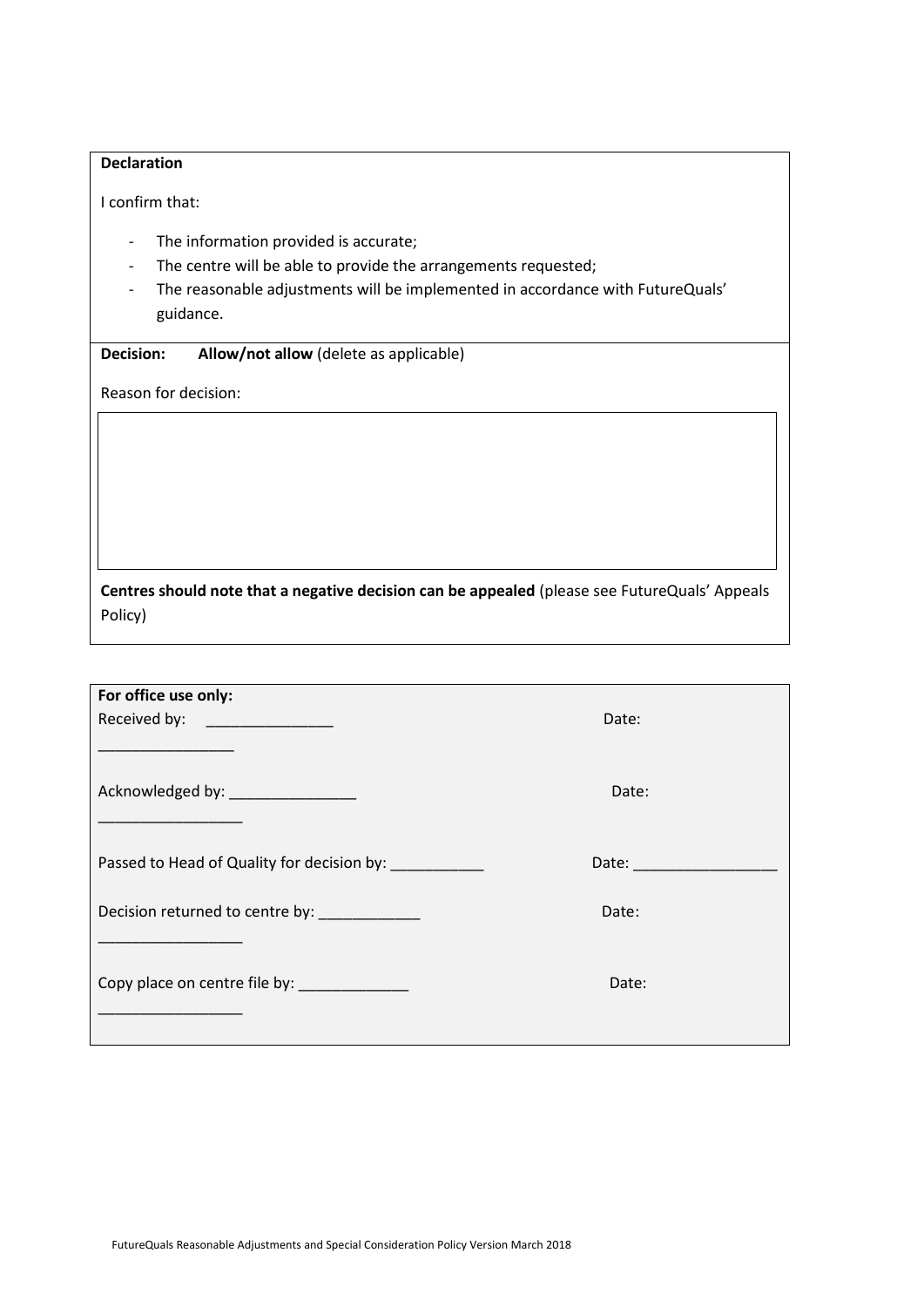## **Declaration**

I confirm that:

- The information provided is accurate;
- The centre will be able to provide the arrangements requested;
- The reasonable adjustments will be implemented in accordance with FutureQuals' guidance.

**Decision: Allow/not allow** (delete as applicable)

Reason for decision:

**Centres should note that a negative decision can be appealed** (please see FutureQuals' Appeals Policy)

| For office use only:                                                       |                       |  |
|----------------------------------------------------------------------------|-----------------------|--|
| Received by: _______________                                               | Date:                 |  |
|                                                                            |                       |  |
| Acknowledged by: __________________                                        | Date:                 |  |
|                                                                            |                       |  |
|                                                                            |                       |  |
| Passed to Head of Quality for decision by:                                 | Date: _______________ |  |
|                                                                            |                       |  |
| Decision returned to centre by:                                            | Date:                 |  |
| the control of the control of the control of the control of the control of |                       |  |
| Copy place on centre file by:                                              | Date:                 |  |
|                                                                            |                       |  |
|                                                                            |                       |  |
|                                                                            |                       |  |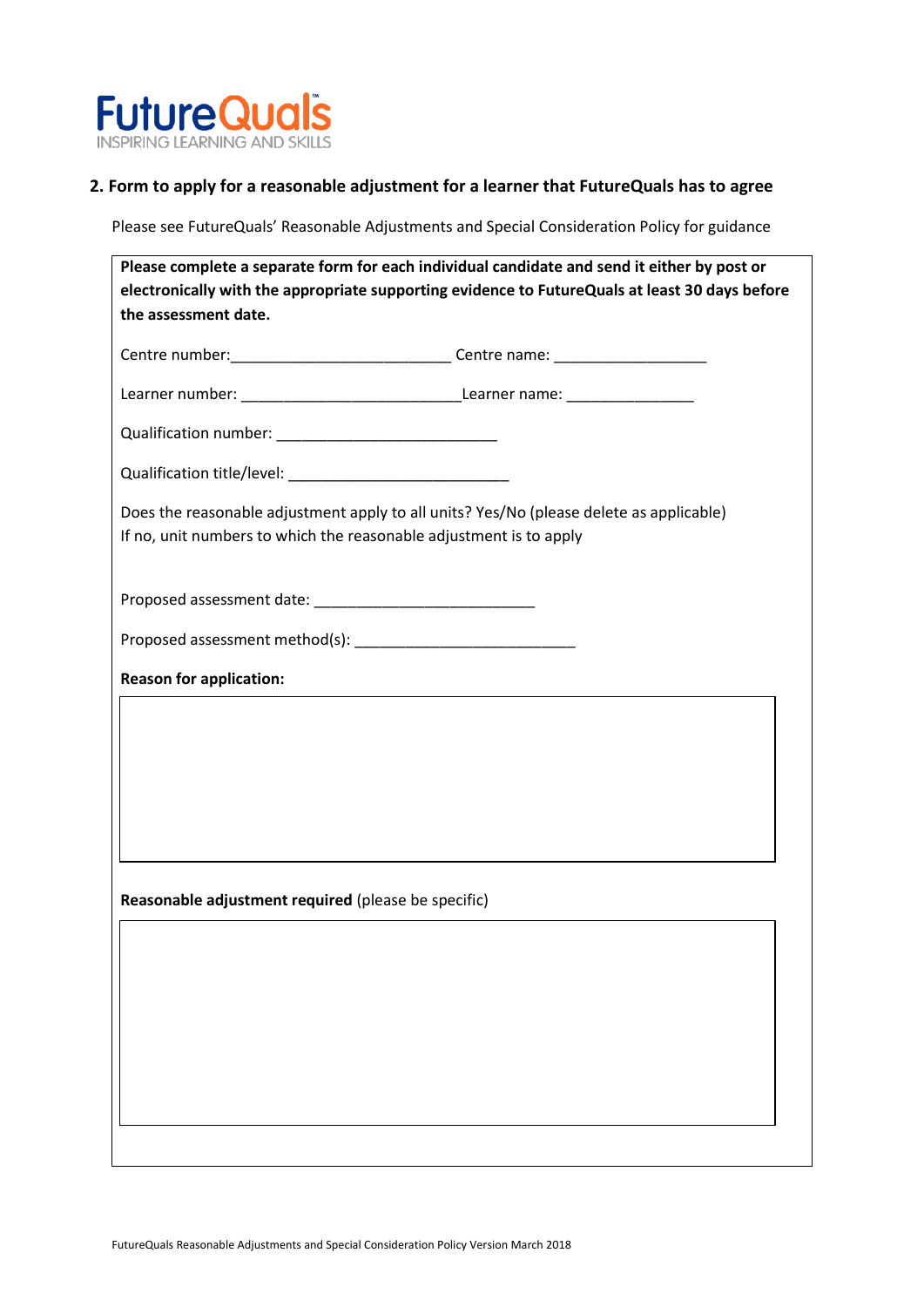

## **2. Form to apply for a reasonable adjustment for a learner that FutureQuals has to agree**

Please see FutureQuals' Reasonable Adjustments and Special Consideration Policy for guidance

|                                                                    | Please complete a separate form for each individual candidate and send it either by post or<br>electronically with the appropriate supporting evidence to FutureQuals at least 30 days before |
|--------------------------------------------------------------------|-----------------------------------------------------------------------------------------------------------------------------------------------------------------------------------------------|
| the assessment date.                                               |                                                                                                                                                                                               |
|                                                                    | Centre number: __________________________________Centre name: __________________                                                                                                              |
|                                                                    |                                                                                                                                                                                               |
|                                                                    |                                                                                                                                                                                               |
|                                                                    |                                                                                                                                                                                               |
| If no, unit numbers to which the reasonable adjustment is to apply | Does the reasonable adjustment apply to all units? Yes/No (please delete as applicable)                                                                                                       |
|                                                                    |                                                                                                                                                                                               |
|                                                                    |                                                                                                                                                                                               |
| <b>Reason for application:</b>                                     |                                                                                                                                                                                               |
|                                                                    |                                                                                                                                                                                               |
|                                                                    |                                                                                                                                                                                               |
|                                                                    |                                                                                                                                                                                               |
|                                                                    |                                                                                                                                                                                               |
| Reasonable adjustment required (please be specific)                |                                                                                                                                                                                               |
|                                                                    |                                                                                                                                                                                               |
|                                                                    |                                                                                                                                                                                               |
|                                                                    |                                                                                                                                                                                               |
|                                                                    |                                                                                                                                                                                               |
|                                                                    |                                                                                                                                                                                               |
|                                                                    |                                                                                                                                                                                               |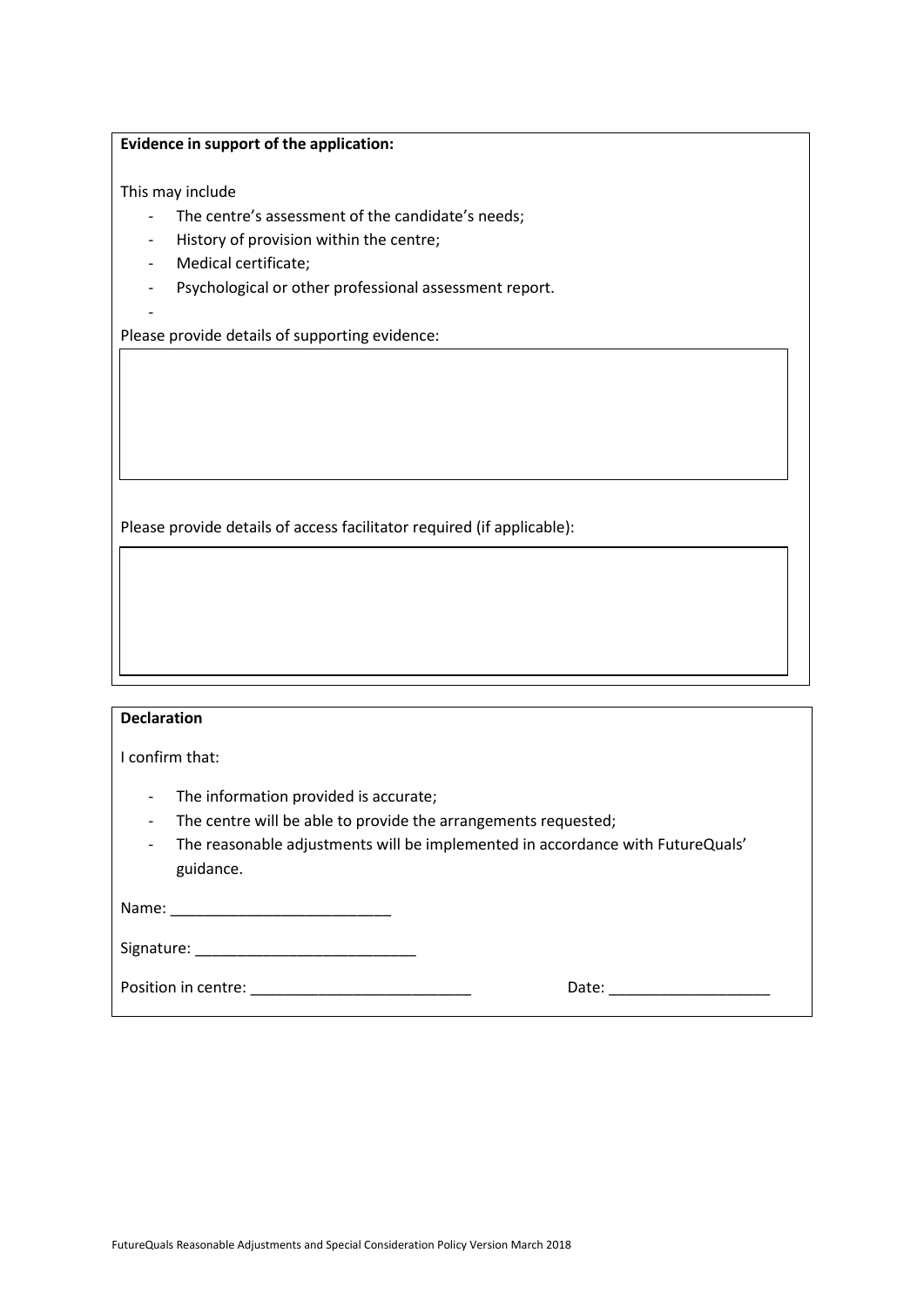#### **Evidence in support of the application:**

This may include

- The centre's assessment of the candidate's needs;
- History of provision within the centre;
- Medical certificate;
- Psychological or other professional assessment report.
- -

Please provide details of supporting evidence:

Please provide details of access facilitator required (if applicable):

| <b>Declaration</b>                                                                                                                                                                                                                                                 |       |
|--------------------------------------------------------------------------------------------------------------------------------------------------------------------------------------------------------------------------------------------------------------------|-------|
| I confirm that:                                                                                                                                                                                                                                                    |       |
| The information provided is accurate;<br>$\overline{a}$<br>The centre will be able to provide the arrangements requested;<br>$\qquad \qquad -$<br>The reasonable adjustments will be implemented in accordance with FutureQuals'<br>$\qquad \qquad -$<br>guidance. |       |
|                                                                                                                                                                                                                                                                    |       |
|                                                                                                                                                                                                                                                                    |       |
| Position in centre: expansion of the set of the set of the set of the set of the set of the set of the set of the set of the set of the set of the set of the set of the set of the set of the set of the set of the set of th                                     | Date: |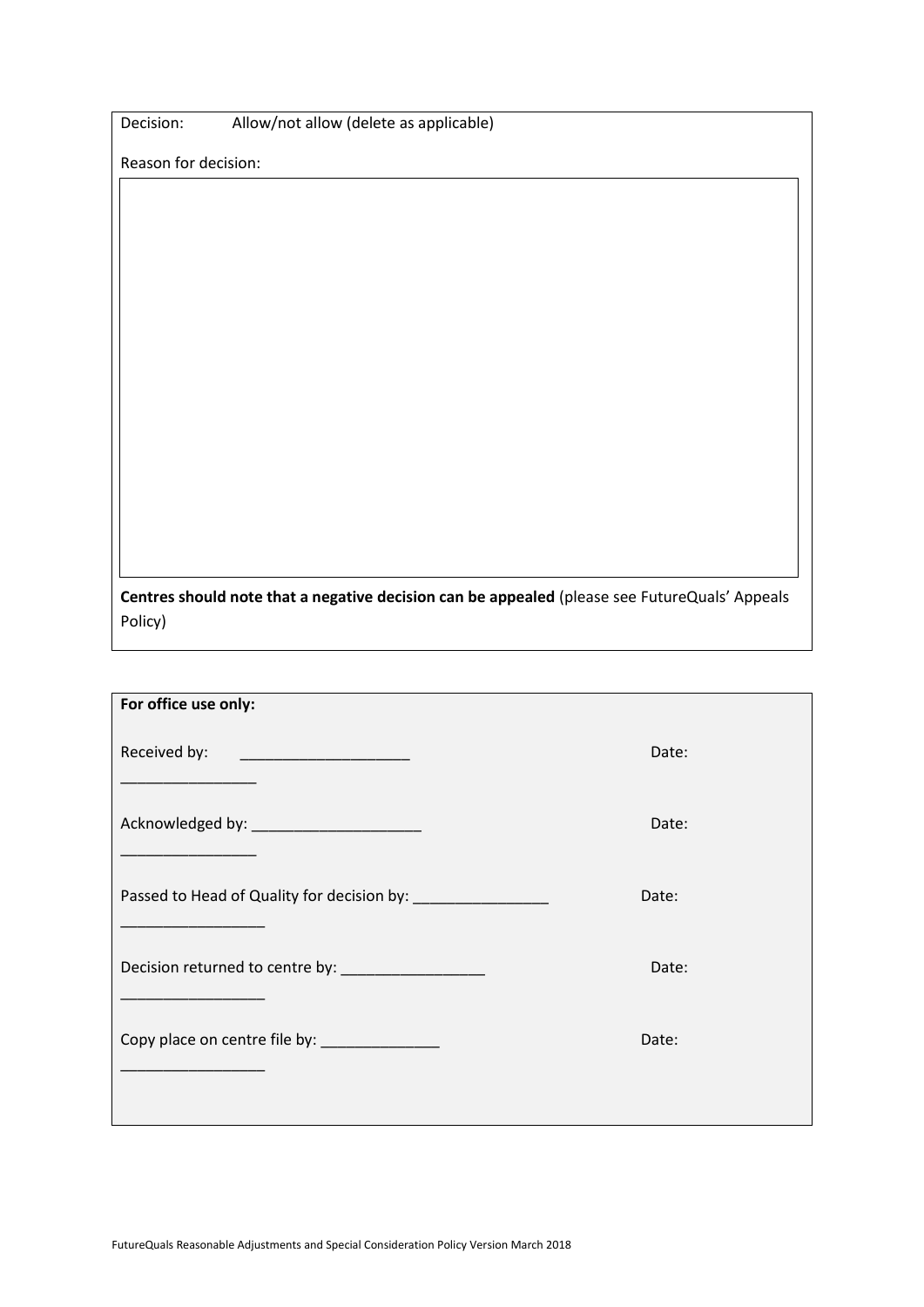| Decision: |  | Allow/not allow (delete as applicable) |
|-----------|--|----------------------------------------|
|-----------|--|----------------------------------------|

Reason for decision:

**Centres should note that a negative decision can be appealed** (please see FutureQuals' Appeals Policy)

| For office use only:                                                                                                                                                                                                                                 |       |
|------------------------------------------------------------------------------------------------------------------------------------------------------------------------------------------------------------------------------------------------------|-------|
| Received by:<br><u> 1989 - Johann Harry Harry Harry Harry Harry Harry Harry Harry Harry Harry Harry Harry Harry Harry Harry Harry Harry Harry Harry Harry Harry Harry Harry Harry Harry Harry Harry Harry Harry Harry Harry Harry Harry Harry Ha</u> | Date: |
| Acknowledged by: _________________________                                                                                                                                                                                                           | Date: |
|                                                                                                                                                                                                                                                      | Date: |
| Decision returned to centre by: _________________                                                                                                                                                                                                    | Date: |
| Copy place on centre file by: _______________                                                                                                                                                                                                        | Date: |
|                                                                                                                                                                                                                                                      |       |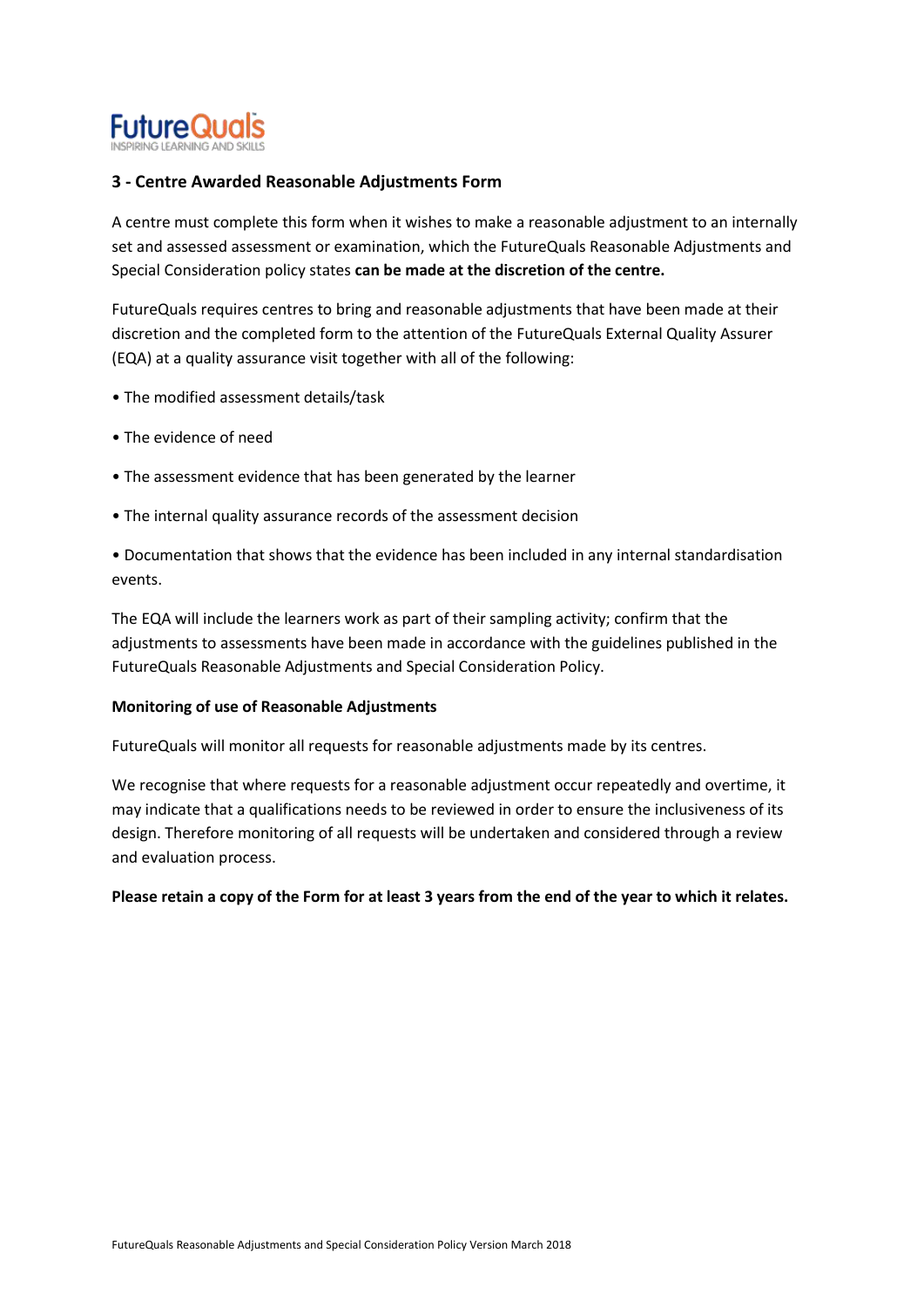

## **3 - Centre Awarded Reasonable Adjustments Form**

A centre must complete this form when it wishes to make a reasonable adjustment to an internally set and assessed assessment or examination, which the FutureQuals Reasonable Adjustments and Special Consideration policy states **can be made at the discretion of the centre.** 

FutureQuals requires centres to bring and reasonable adjustments that have been made at their discretion and the completed form to the attention of the FutureQuals External Quality Assurer (EQA) at a quality assurance visit together with all of the following:

- The modified assessment details/task
- The evidence of need
- The assessment evidence that has been generated by the learner
- The internal quality assurance records of the assessment decision

• Documentation that shows that the evidence has been included in any internal standardisation events.

The EQA will include the learners work as part of their sampling activity; confirm that the adjustments to assessments have been made in accordance with the guidelines published in the FutureQuals Reasonable Adjustments and Special Consideration Policy.

#### **Monitoring of use of Reasonable Adjustments**

FutureQuals will monitor all requests for reasonable adjustments made by its centres.

We recognise that where requests for a reasonable adjustment occur repeatedly and overtime, it may indicate that a qualifications needs to be reviewed in order to ensure the inclusiveness of its design. Therefore monitoring of all requests will be undertaken and considered through a review and evaluation process.

**Please retain a copy of the Form for at least 3 years from the end of the year to which it relates.**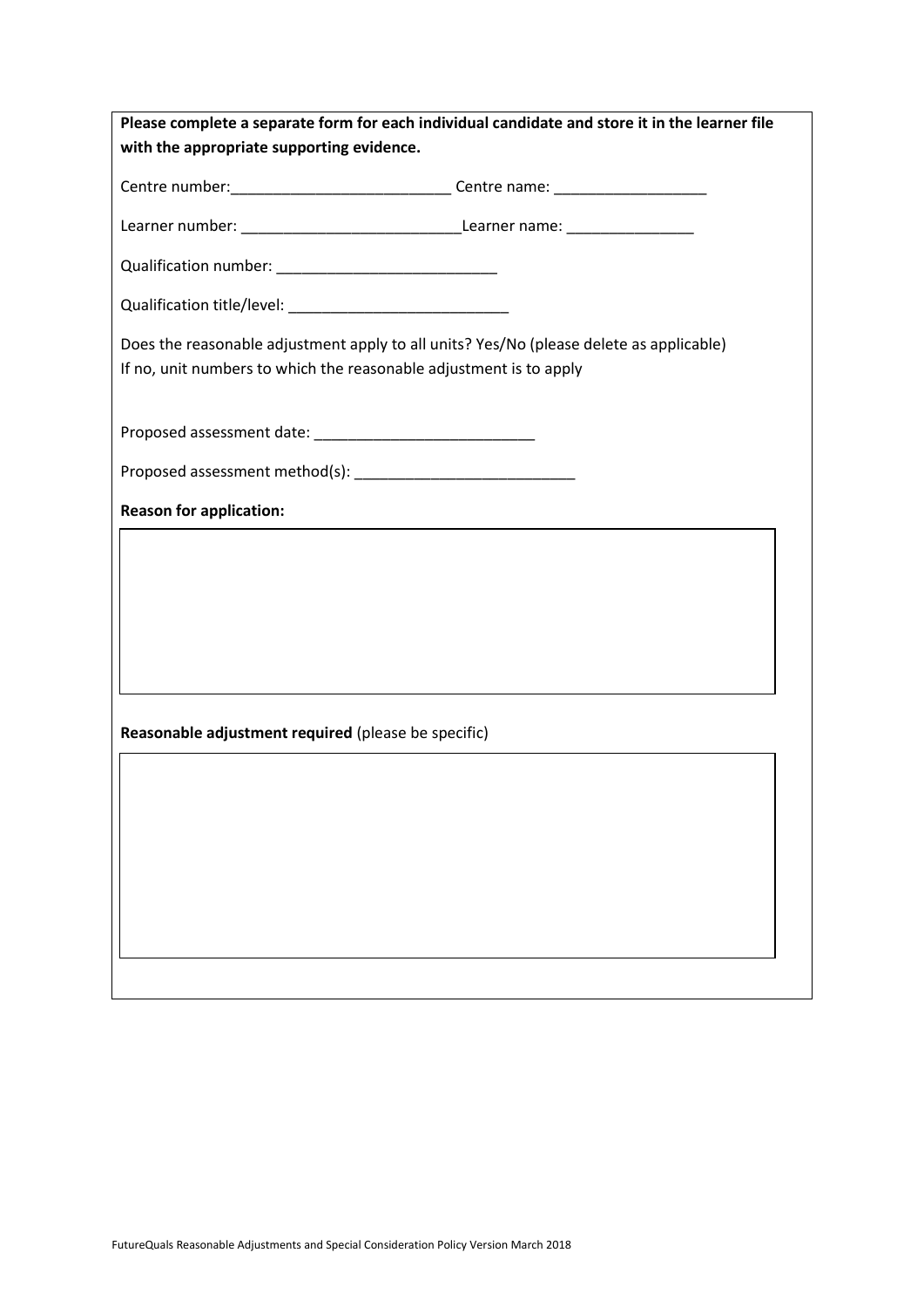| Please complete a separate form for each individual candidate and store it in the learner file                                                                |  |
|---------------------------------------------------------------------------------------------------------------------------------------------------------------|--|
| with the appropriate supporting evidence.                                                                                                                     |  |
| Centre number: __________________________________Centre name: __________________                                                                              |  |
|                                                                                                                                                               |  |
|                                                                                                                                                               |  |
|                                                                                                                                                               |  |
| Does the reasonable adjustment apply to all units? Yes/No (please delete as applicable)<br>If no, unit numbers to which the reasonable adjustment is to apply |  |
|                                                                                                                                                               |  |
|                                                                                                                                                               |  |
| <b>Reason for application:</b>                                                                                                                                |  |
|                                                                                                                                                               |  |
|                                                                                                                                                               |  |
|                                                                                                                                                               |  |
|                                                                                                                                                               |  |
| Reasonable adjustment required (please be specific)                                                                                                           |  |
|                                                                                                                                                               |  |
|                                                                                                                                                               |  |
|                                                                                                                                                               |  |
|                                                                                                                                                               |  |
|                                                                                                                                                               |  |
|                                                                                                                                                               |  |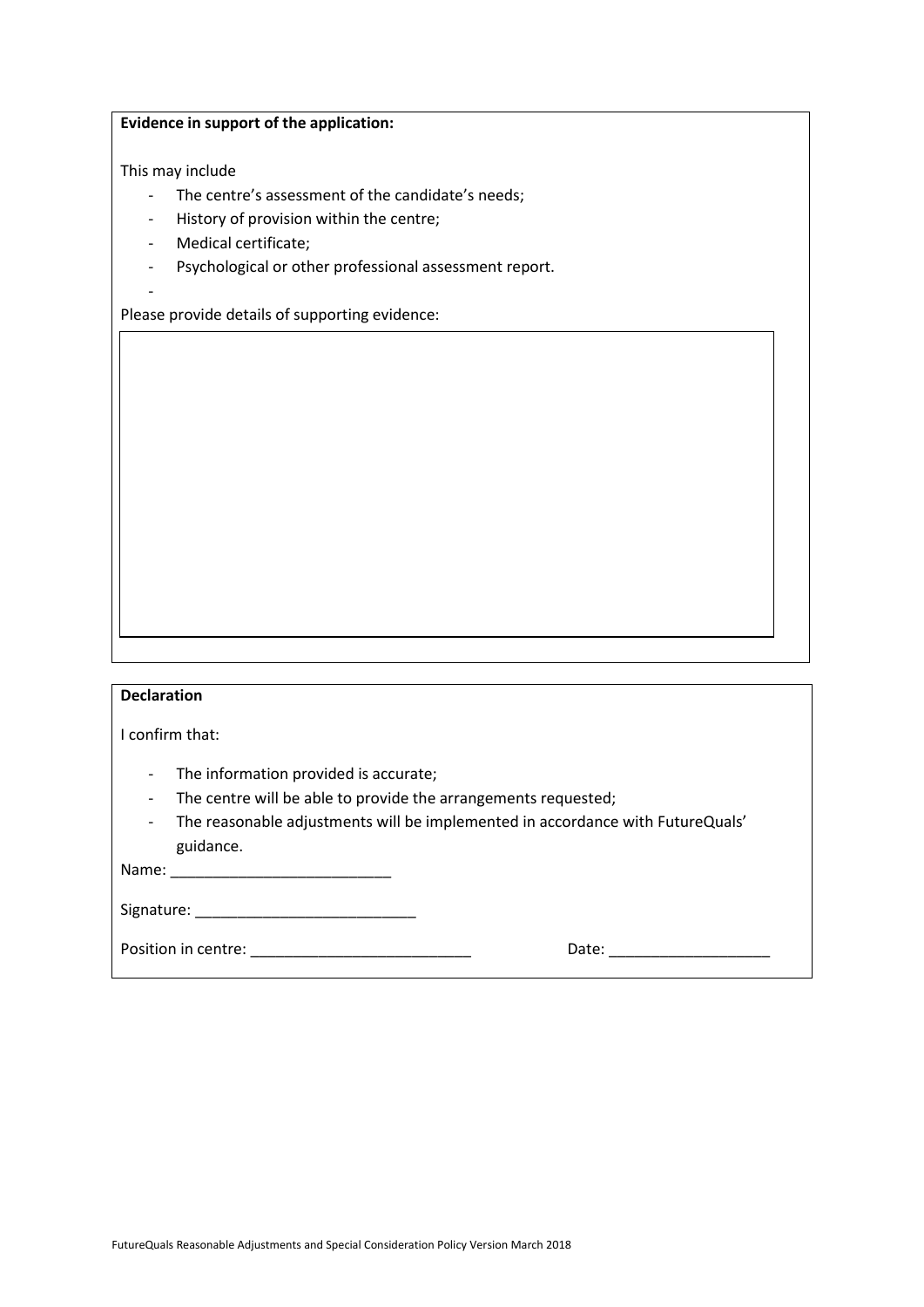#### **Evidence in support of the application:**

This may include

- The centre's assessment of the candidate's needs;
- History of provision within the centre;
- Medical certificate;
- Psychological or other professional assessment report.
- -

Please provide details of supporting evidence:

#### **Declaration**

I confirm that:

- The information provided is accurate;
- The centre will be able to provide the arrangements requested;
- The reasonable adjustments will be implemented in accordance with FutureQuals' guidance.

Name: \_\_\_\_\_\_\_\_\_\_\_\_\_\_\_\_\_\_\_\_\_\_\_\_\_\_

Signature: \_\_\_\_\_\_\_\_\_\_\_\_\_\_\_\_\_\_\_\_\_\_\_\_\_\_

Position in centre: \_\_\_\_\_\_\_\_\_\_\_\_\_\_\_\_\_\_\_\_\_\_\_\_\_\_ Date: \_\_\_\_\_\_\_\_\_\_\_\_\_\_\_\_\_\_\_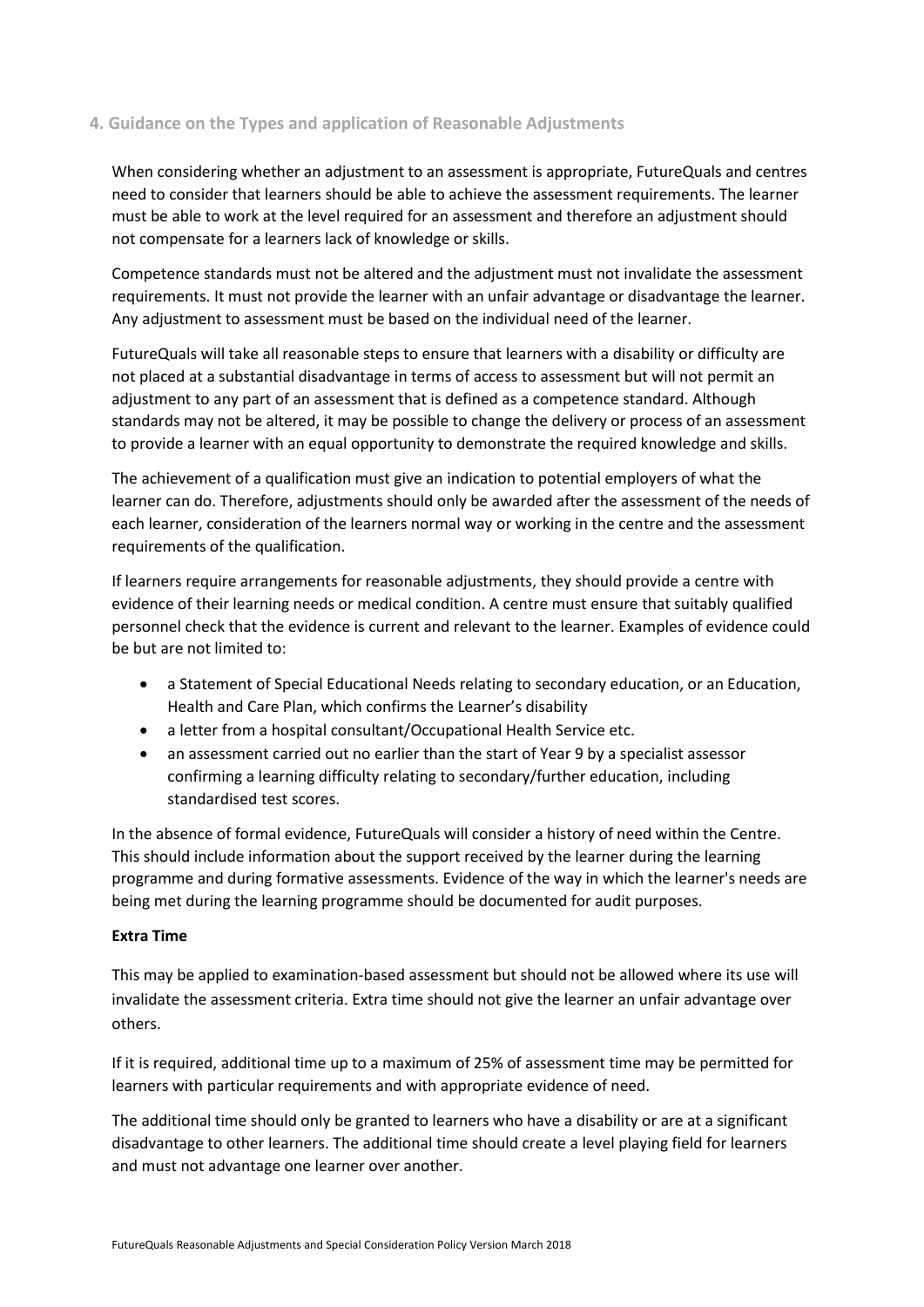## **4. Guidance on the Types and application of Reasonable Adjustments**

When considering whether an adjustment to an assessment is appropriate, FutureQuals and centres need to consider that learners should be able to achieve the assessment requirements. The learner must be able to work at the level required for an assessment and therefore an adjustment should not compensate for a learners lack of knowledge or skills.

Competence standards must not be altered and the adjustment must not invalidate the assessment requirements. It must not provide the learner with an unfair advantage or disadvantage the learner. Any adjustment to assessment must be based on the individual need of the learner.

FutureQuals will take all reasonable steps to ensure that learners with a disability or difficulty are not placed at a substantial disadvantage in terms of access to assessment but will not permit an adjustment to any part of an assessment that is defined as a competence standard. Although standards may not be altered, it may be possible to change the delivery or process of an assessment to provide a learner with an equal opportunity to demonstrate the required knowledge and skills.

The achievement of a qualification must give an indication to potential employers of what the learner can do. Therefore, adjustments should only be awarded after the assessment of the needs of each learner, consideration of the learners normal way or working in the centre and the assessment requirements of the qualification.

If learners require arrangements for reasonable adjustments, they should provide a centre with evidence of their learning needs or medical condition. A centre must ensure that suitably qualified personnel check that the evidence is current and relevant to the learner. Examples of evidence could be but are not limited to:

- a Statement of Special Educational Needs relating to secondary education, or an Education, Health and Care Plan, which confirms the Learner's disability
- a letter from a hospital consultant/Occupational Health Service etc.
- an assessment carried out no earlier than the start of Year 9 by a specialist assessor confirming a learning difficulty relating to secondary/further education, including standardised test scores.

In the absence of formal evidence, FutureQuals will consider a history of need within the Centre. This should include information about the support received by the learner during the learning programme and during formative assessments. Evidence of the way in which the learner's needs are being met during the learning programme should be documented for audit purposes.

#### **Extra Time**

This may be applied to examination-based assessment but should not be allowed where its use will invalidate the assessment criteria. Extra time should not give the learner an unfair advantage over others.

If it is required, additional time up to a maximum of 25% of assessment time may be permitted for learners with particular requirements and with appropriate evidence of need.

The additional time should only be granted to learners who have a disability or are at a significant disadvantage to other learners. The additional time should create a level playing field for learners and must not advantage one learner over another.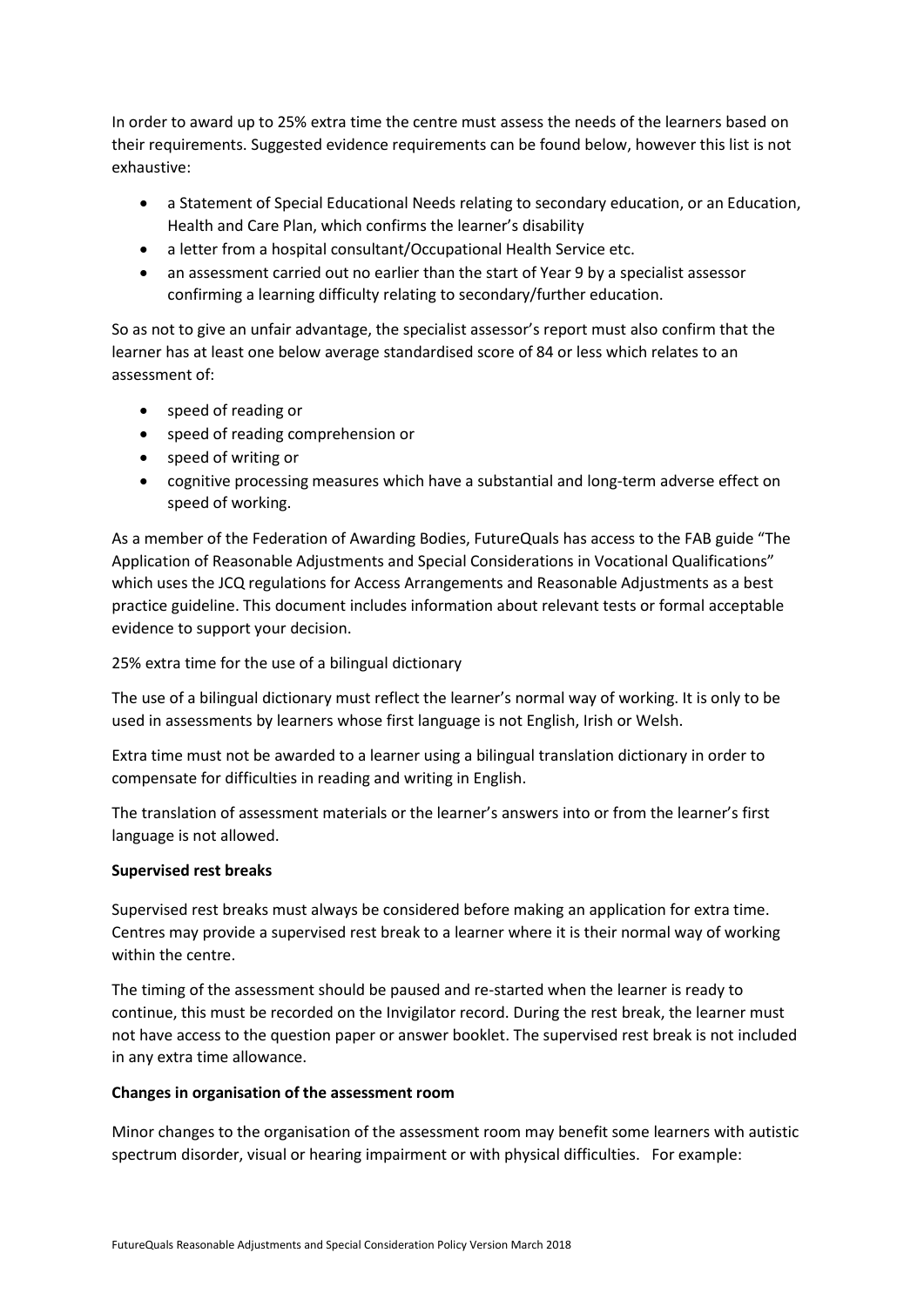In order to award up to 25% extra time the centre must assess the needs of the learners based on their requirements. Suggested evidence requirements can be found below, however this list is not exhaustive:

- a Statement of Special Educational Needs relating to secondary education, or an Education, Health and Care Plan, which confirms the learner's disability
- a letter from a hospital consultant/Occupational Health Service etc.
- an assessment carried out no earlier than the start of Year 9 by a specialist assessor confirming a learning difficulty relating to secondary/further education.

So as not to give an unfair advantage, the specialist assessor's report must also confirm that the learner has at least one below average standardised score of 84 or less which relates to an assessment of:

- speed of reading or
- speed of reading comprehension or
- speed of writing or
- cognitive processing measures which have a substantial and long-term adverse effect on speed of working.

As a member of the Federation of Awarding Bodies, FutureQuals has access to the FAB guide "The Application of Reasonable Adjustments and Special Considerations in Vocational Qualifications" which uses the JCQ regulations for Access Arrangements and Reasonable Adjustments as a best practice guideline. This document includes information about relevant tests or formal acceptable evidence to support your decision.

25% extra time for the use of a bilingual dictionary

The use of a bilingual dictionary must reflect the learner's normal way of working. It is only to be used in assessments by learners whose first language is not English, Irish or Welsh.

Extra time must not be awarded to a learner using a bilingual translation dictionary in order to compensate for difficulties in reading and writing in English.

The translation of assessment materials or the learner's answers into or from the learner's first language is not allowed.

## **Supervised rest breaks**

Supervised rest breaks must always be considered before making an application for extra time. Centres may provide a supervised rest break to a learner where it is their normal way of working within the centre.

The timing of the assessment should be paused and re-started when the learner is ready to continue, this must be recorded on the Invigilator record. During the rest break, the learner must not have access to the question paper or answer booklet. The supervised rest break is not included in any extra time allowance.

#### **Changes in organisation of the assessment room**

Minor changes to the organisation of the assessment room may benefit some learners with autistic spectrum disorder, visual or hearing impairment or with physical difficulties. For example: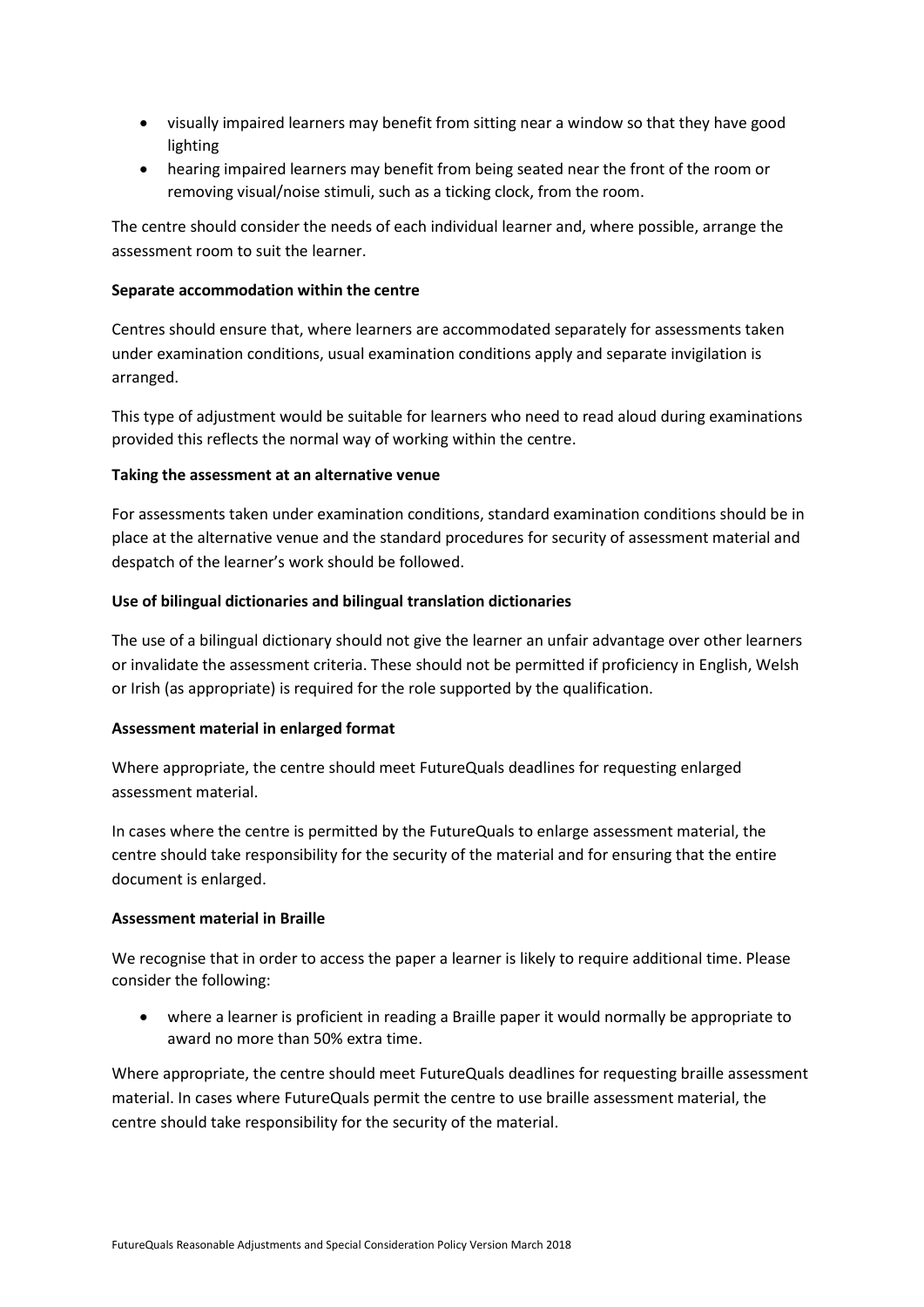- visually impaired learners may benefit from sitting near a window so that they have good lighting
- hearing impaired learners may benefit from being seated near the front of the room or removing visual/noise stimuli, such as a ticking clock, from the room.

The centre should consider the needs of each individual learner and, where possible, arrange the assessment room to suit the learner.

#### **Separate accommodation within the centre**

Centres should ensure that, where learners are accommodated separately for assessments taken under examination conditions, usual examination conditions apply and separate invigilation is arranged.

This type of adjustment would be suitable for learners who need to read aloud during examinations provided this reflects the normal way of working within the centre.

## **Taking the assessment at an alternative venue**

For assessments taken under examination conditions, standard examination conditions should be in place at the alternative venue and the standard procedures for security of assessment material and despatch of the learner's work should be followed.

## **Use of bilingual dictionaries and bilingual translation dictionaries**

The use of a bilingual dictionary should not give the learner an unfair advantage over other learners or invalidate the assessment criteria. These should not be permitted if proficiency in English, Welsh or Irish (as appropriate) is required for the role supported by the qualification.

#### **Assessment material in enlarged format**

Where appropriate, the centre should meet FutureQuals deadlines for requesting enlarged assessment material.

In cases where the centre is permitted by the FutureQuals to enlarge assessment material, the centre should take responsibility for the security of the material and for ensuring that the entire document is enlarged.

#### **Assessment material in Braille**

We recognise that in order to access the paper a learner is likely to require additional time. Please consider the following:

 where a learner is proficient in reading a Braille paper it would normally be appropriate to award no more than 50% extra time.

Where appropriate, the centre should meet FutureQuals deadlines for requesting braille assessment material. In cases where FutureQuals permit the centre to use braille assessment material, the centre should take responsibility for the security of the material.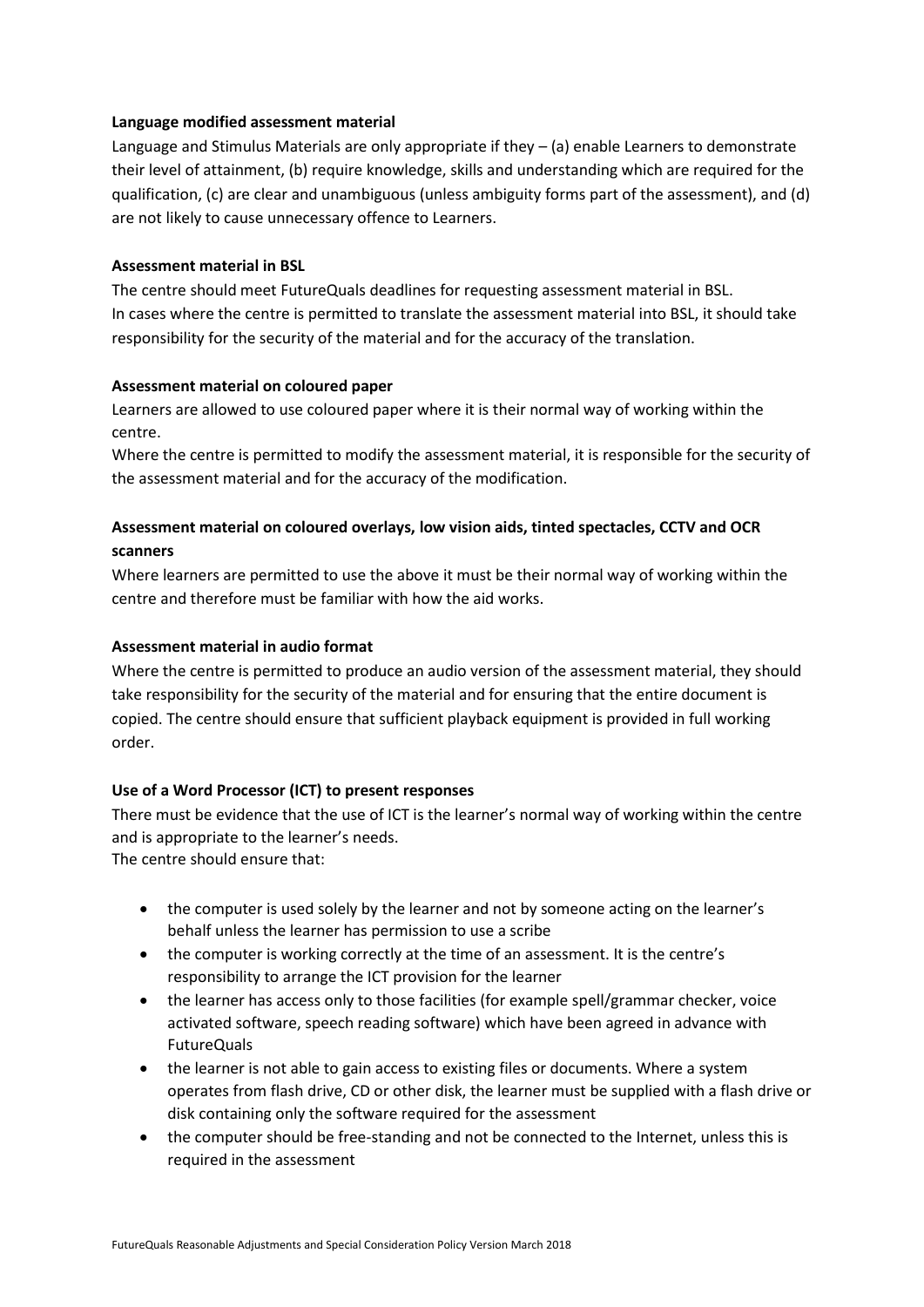#### **Language modified assessment material**

Language and Stimulus Materials are only appropriate if they – (a) enable Learners to demonstrate their level of attainment, (b) require knowledge, skills and understanding which are required for the qualification, (c) are clear and unambiguous (unless ambiguity forms part of the assessment), and (d) are not likely to cause unnecessary offence to Learners.

#### **Assessment material in BSL**

The centre should meet FutureQuals deadlines for requesting assessment material in BSL. In cases where the centre is permitted to translate the assessment material into BSL, it should take responsibility for the security of the material and for the accuracy of the translation.

#### **Assessment material on coloured paper**

Learners are allowed to use coloured paper where it is their normal way of working within the centre.

Where the centre is permitted to modify the assessment material, it is responsible for the security of the assessment material and for the accuracy of the modification.

## **Assessment material on coloured overlays, low vision aids, tinted spectacles, CCTV and OCR scanners**

Where learners are permitted to use the above it must be their normal way of working within the centre and therefore must be familiar with how the aid works.

#### **Assessment material in audio format**

Where the centre is permitted to produce an audio version of the assessment material, they should take responsibility for the security of the material and for ensuring that the entire document is copied. The centre should ensure that sufficient playback equipment is provided in full working order.

#### **Use of a Word Processor (ICT) to present responses**

There must be evidence that the use of ICT is the learner's normal way of working within the centre and is appropriate to the learner's needs. The centre should ensure that:

- the computer is used solely by the learner and not by someone acting on the learner's behalf unless the learner has permission to use a scribe
- the computer is working correctly at the time of an assessment. It is the centre's responsibility to arrange the ICT provision for the learner
- the learner has access only to those facilities (for example spell/grammar checker, voice activated software, speech reading software) which have been agreed in advance with FutureQuals
- the learner is not able to gain access to existing files or documents. Where a system operates from flash drive, CD or other disk, the learner must be supplied with a flash drive or disk containing only the software required for the assessment
- the computer should be free-standing and not be connected to the Internet, unless this is required in the assessment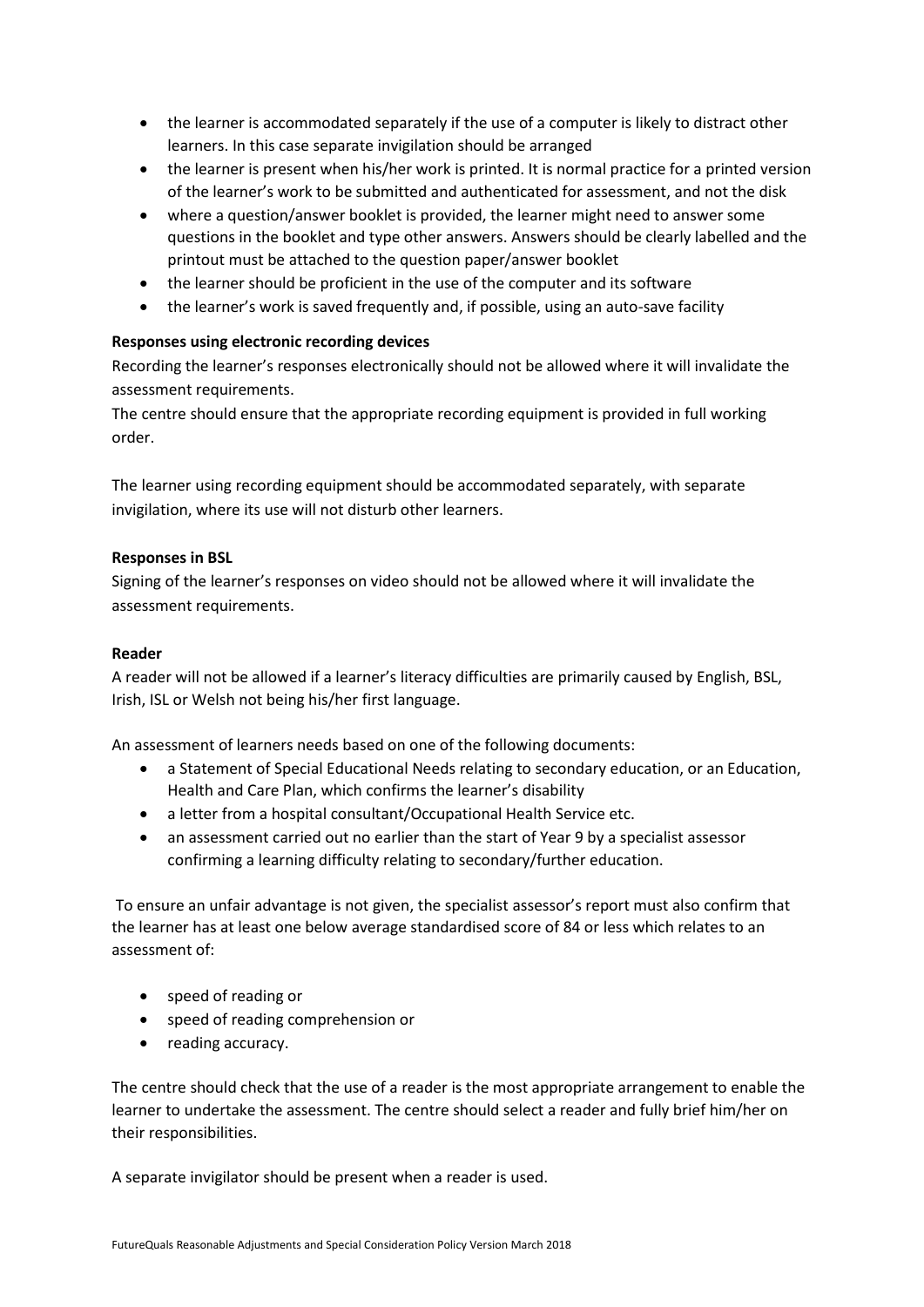- the learner is accommodated separately if the use of a computer is likely to distract other learners. In this case separate invigilation should be arranged
- the learner is present when his/her work is printed. It is normal practice for a printed version of the learner's work to be submitted and authenticated for assessment, and not the disk
- where a question/answer booklet is provided, the learner might need to answer some questions in the booklet and type other answers. Answers should be clearly labelled and the printout must be attached to the question paper/answer booklet
- the learner should be proficient in the use of the computer and its software
- the learner's work is saved frequently and, if possible, using an auto-save facility

## **Responses using electronic recording devices**

Recording the learner's responses electronically should not be allowed where it will invalidate the assessment requirements.

The centre should ensure that the appropriate recording equipment is provided in full working order.

The learner using recording equipment should be accommodated separately, with separate invigilation, where its use will not disturb other learners.

## **Responses in BSL**

Signing of the learner's responses on video should not be allowed where it will invalidate the assessment requirements.

## **Reader**

A reader will not be allowed if a learner's literacy difficulties are primarily caused by English, BSL, Irish, ISL or Welsh not being his/her first language.

An assessment of learners needs based on one of the following documents:

- a Statement of Special Educational Needs relating to secondary education, or an Education, Health and Care Plan, which confirms the learner's disability
- a letter from a hospital consultant/Occupational Health Service etc.
- an assessment carried out no earlier than the start of Year 9 by a specialist assessor confirming a learning difficulty relating to secondary/further education.

To ensure an unfair advantage is not given, the specialist assessor's report must also confirm that the learner has at least one below average standardised score of 84 or less which relates to an assessment of:

- speed of reading or
- speed of reading comprehension or
- reading accuracy.

The centre should check that the use of a reader is the most appropriate arrangement to enable the learner to undertake the assessment. The centre should select a reader and fully brief him/her on their responsibilities.

A separate invigilator should be present when a reader is used.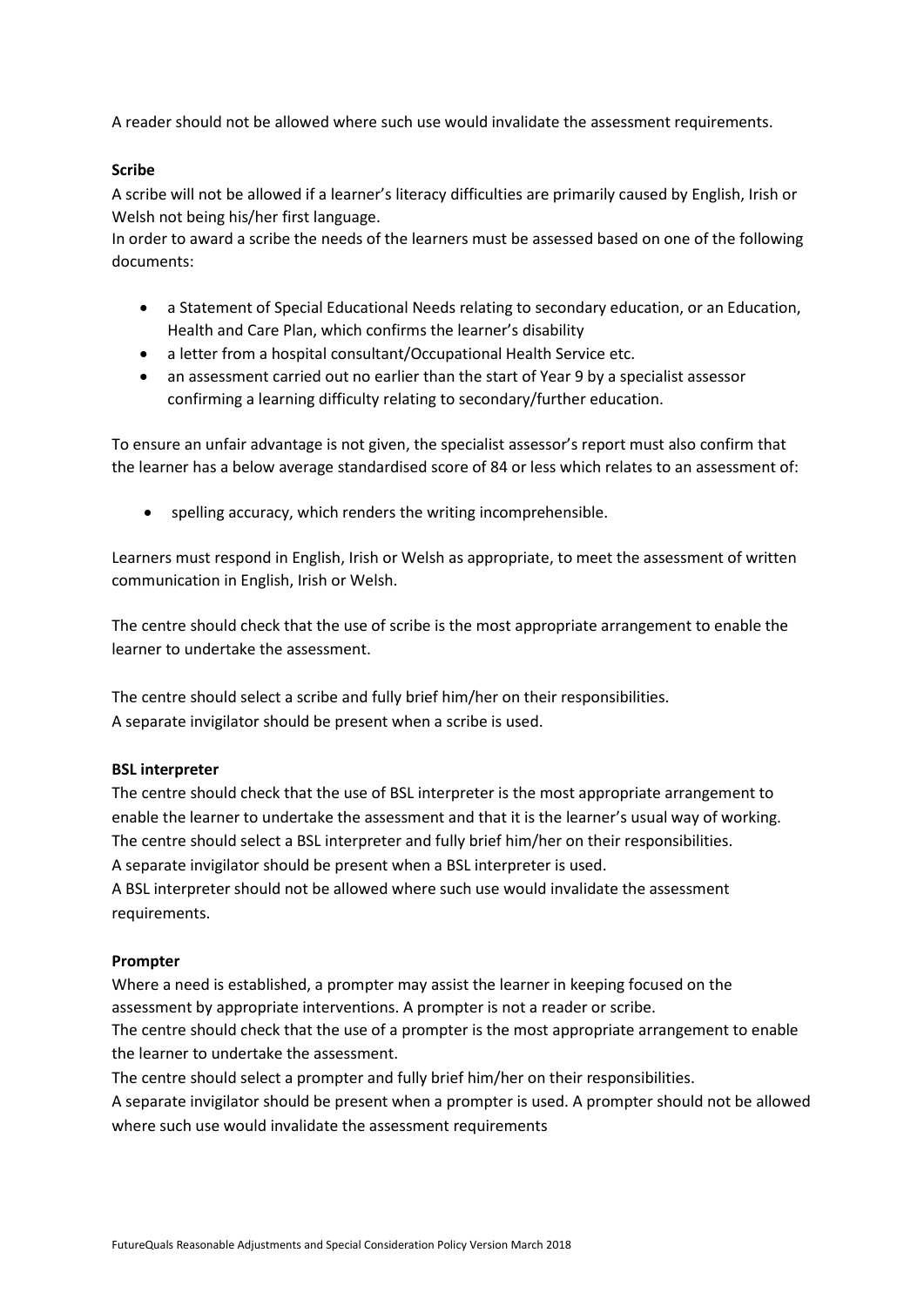A reader should not be allowed where such use would invalidate the assessment requirements.

#### **Scribe**

A scribe will not be allowed if a learner's literacy difficulties are primarily caused by English, Irish or Welsh not being his/her first language.

In order to award a scribe the needs of the learners must be assessed based on one of the following documents:

- a Statement of Special Educational Needs relating to secondary education, or an Education, Health and Care Plan, which confirms the learner's disability
- a letter from a hospital consultant/Occupational Health Service etc.
- an assessment carried out no earlier than the start of Year 9 by a specialist assessor confirming a learning difficulty relating to secondary/further education.

To ensure an unfair advantage is not given, the specialist assessor's report must also confirm that the learner has a below average standardised score of 84 or less which relates to an assessment of:

spelling accuracy, which renders the writing incomprehensible.

Learners must respond in English, Irish or Welsh as appropriate, to meet the assessment of written communication in English, Irish or Welsh.

The centre should check that the use of scribe is the most appropriate arrangement to enable the learner to undertake the assessment.

The centre should select a scribe and fully brief him/her on their responsibilities. A separate invigilator should be present when a scribe is used.

#### **BSL interpreter**

The centre should check that the use of BSL interpreter is the most appropriate arrangement to enable the learner to undertake the assessment and that it is the learner's usual way of working. The centre should select a BSL interpreter and fully brief him/her on their responsibilities. A separate invigilator should be present when a BSL interpreter is used.

A BSL interpreter should not be allowed where such use would invalidate the assessment requirements.

#### **Prompter**

Where a need is established, a prompter may assist the learner in keeping focused on the assessment by appropriate interventions. A prompter is not a reader or scribe.

The centre should check that the use of a prompter is the most appropriate arrangement to enable the learner to undertake the assessment.

The centre should select a prompter and fully brief him/her on their responsibilities.

A separate invigilator should be present when a prompter is used. A prompter should not be allowed where such use would invalidate the assessment requirements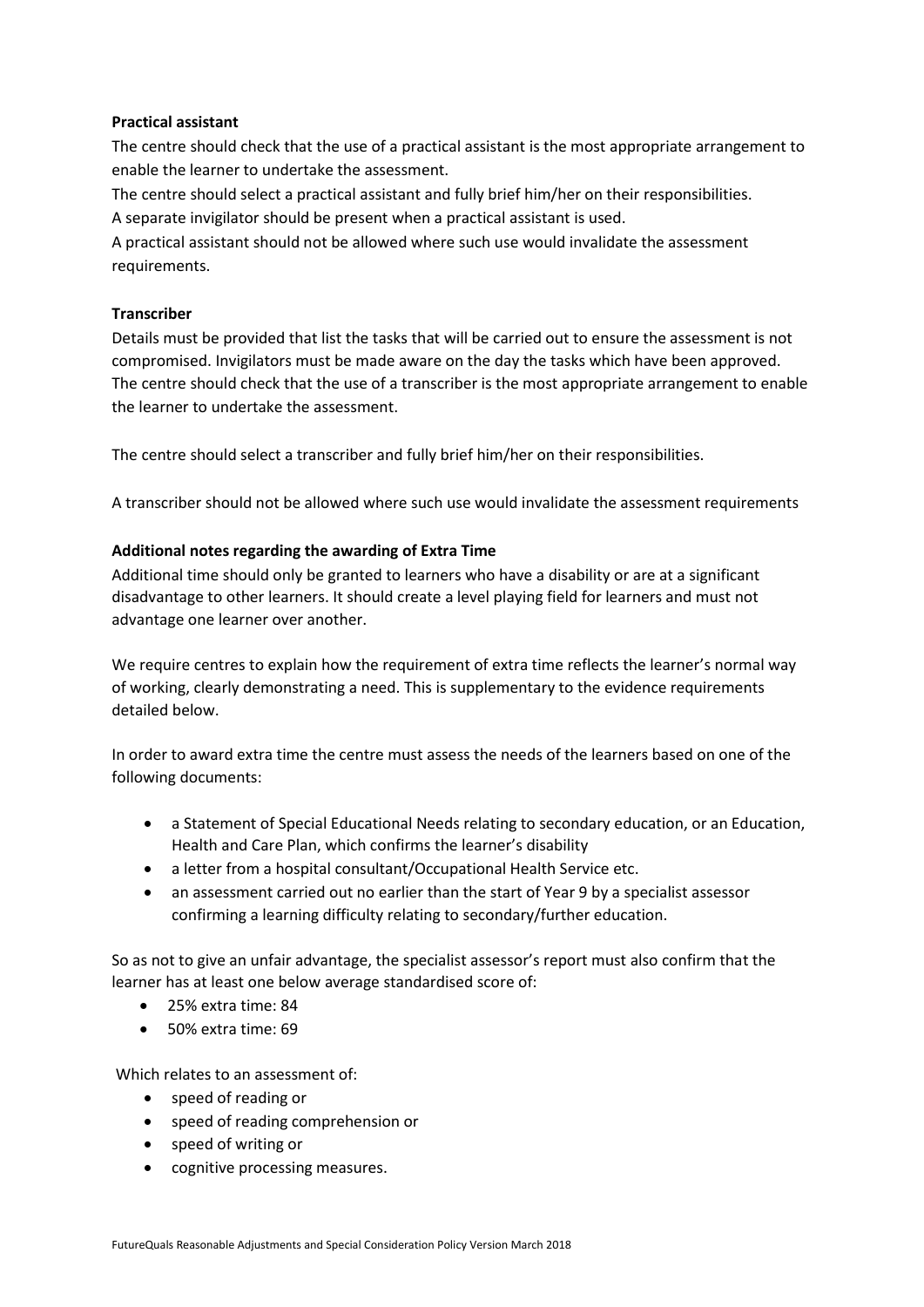#### **Practical assistant**

The centre should check that the use of a practical assistant is the most appropriate arrangement to enable the learner to undertake the assessment.

The centre should select a practical assistant and fully brief him/her on their responsibilities.

A separate invigilator should be present when a practical assistant is used.

A practical assistant should not be allowed where such use would invalidate the assessment requirements.

## **Transcriber**

Details must be provided that list the tasks that will be carried out to ensure the assessment is not compromised. Invigilators must be made aware on the day the tasks which have been approved. The centre should check that the use of a transcriber is the most appropriate arrangement to enable the learner to undertake the assessment.

The centre should select a transcriber and fully brief him/her on their responsibilities.

A transcriber should not be allowed where such use would invalidate the assessment requirements

## **Additional notes regarding the awarding of Extra Time**

Additional time should only be granted to learners who have a disability or are at a significant disadvantage to other learners. It should create a level playing field for learners and must not advantage one learner over another.

We require centres to explain how the requirement of extra time reflects the learner's normal way of working, clearly demonstrating a need. This is supplementary to the evidence requirements detailed below.

In order to award extra time the centre must assess the needs of the learners based on one of the following documents:

- a Statement of Special Educational Needs relating to secondary education, or an Education, Health and Care Plan, which confirms the learner's disability
- a letter from a hospital consultant/Occupational Health Service etc.
- an assessment carried out no earlier than the start of Year 9 by a specialist assessor confirming a learning difficulty relating to secondary/further education.

So as not to give an unfair advantage, the specialist assessor's report must also confirm that the learner has at least one below average standardised score of:

- 25% extra time: 84
- 50% extra time: 69

Which relates to an assessment of:

- speed of reading or
- speed of reading comprehension or
- speed of writing or
- cognitive processing measures.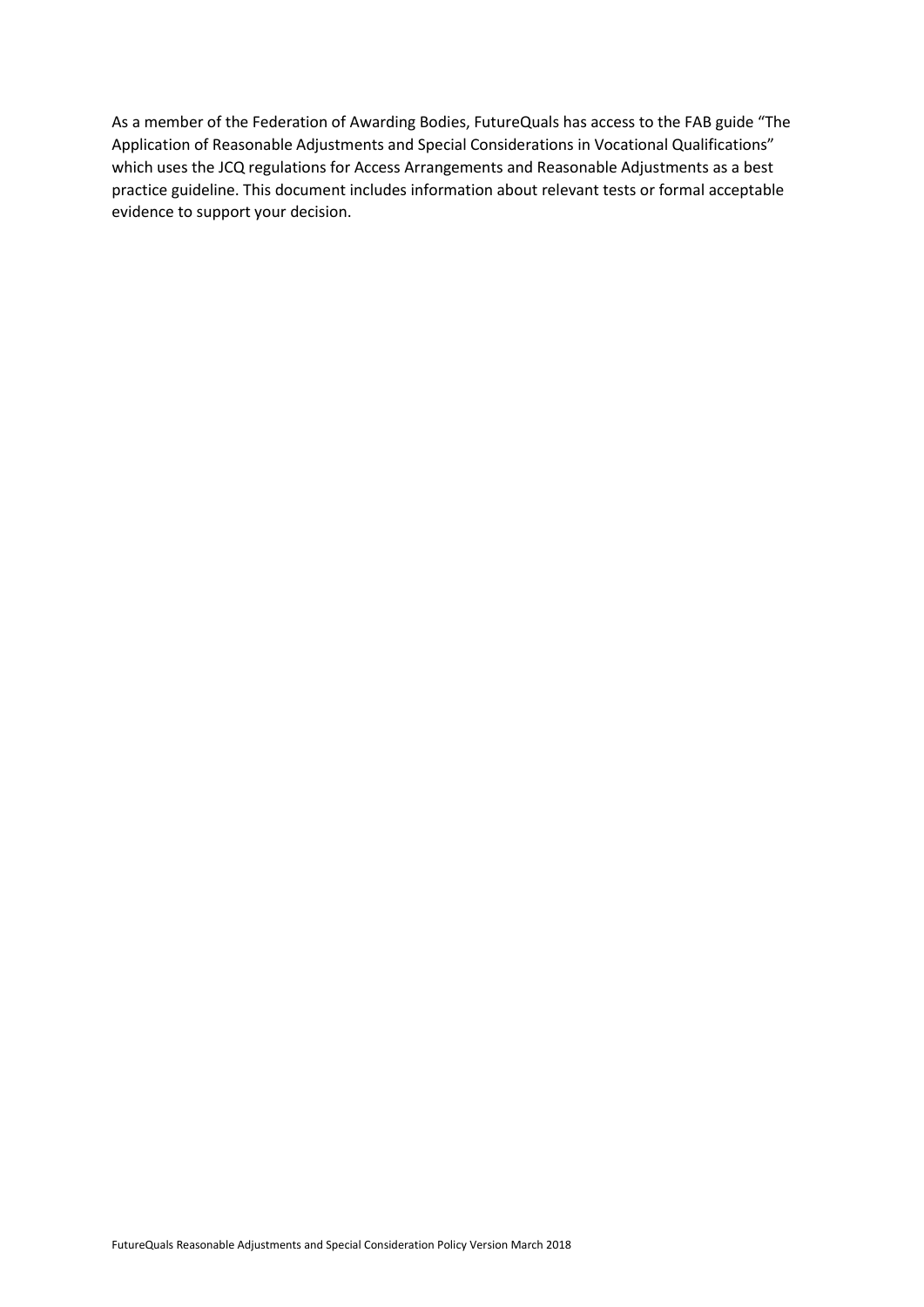As a member of the Federation of Awarding Bodies, FutureQuals has access to the FAB guide "The Application of Reasonable Adjustments and Special Considerations in Vocational Qualifications" which uses the JCQ regulations for Access Arrangements and Reasonable Adjustments as a best practice guideline. This document includes information about relevant tests or formal acceptable evidence to support your decision.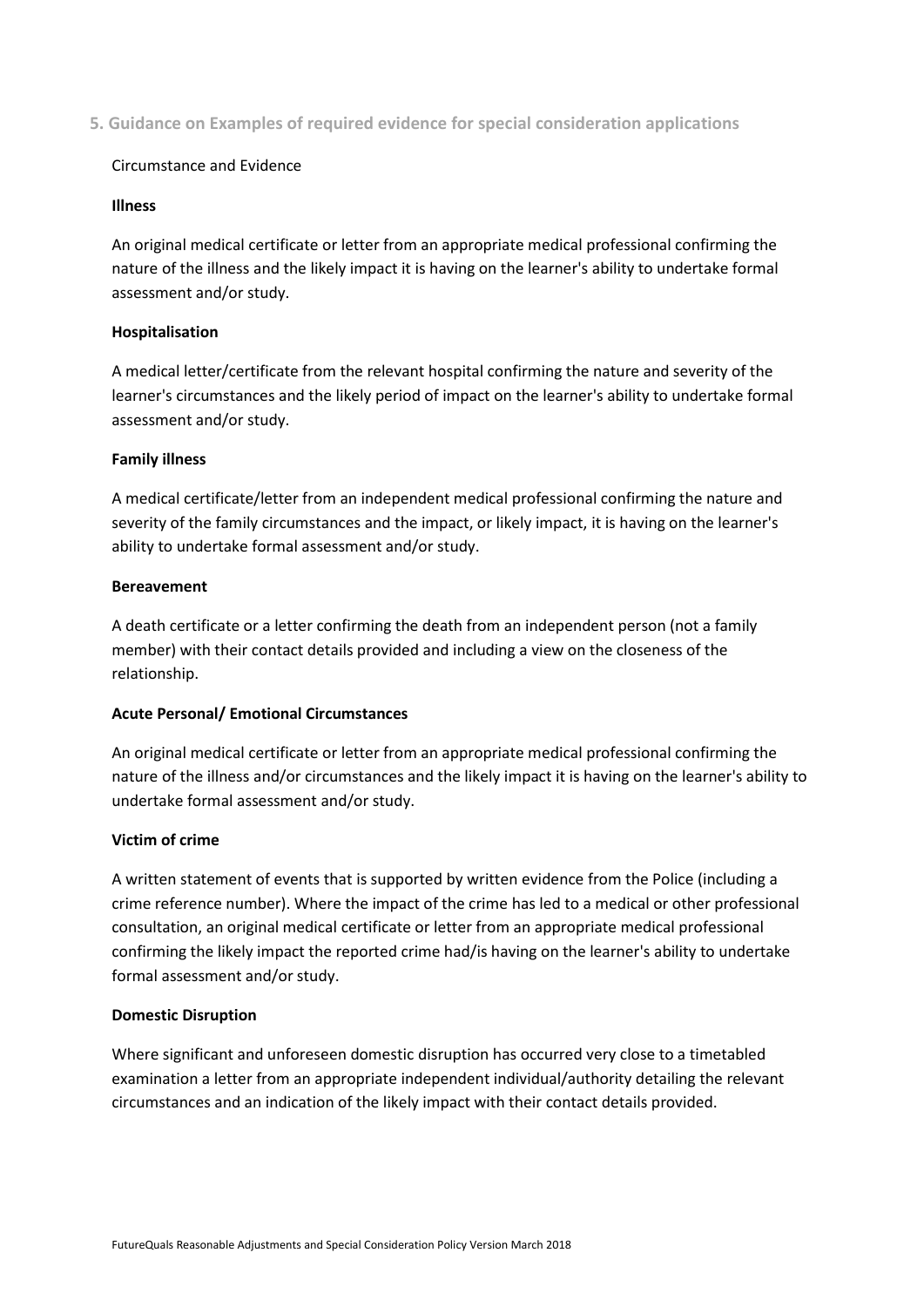**5. Guidance on Examples of required evidence for special consideration applications**

#### Circumstance and Evidence

#### **Illness**

An original medical certificate or letter from an appropriate medical professional confirming the nature of the illness and the likely impact it is having on the learner's ability to undertake formal assessment and/or study.

#### **Hospitalisation**

A medical letter/certificate from the relevant hospital confirming the nature and severity of the learner's circumstances and the likely period of impact on the learner's ability to undertake formal assessment and/or study.

#### **Family illness**

A medical certificate/letter from an independent medical professional confirming the nature and severity of the family circumstances and the impact, or likely impact, it is having on the learner's ability to undertake formal assessment and/or study.

#### **Bereavement**

A death certificate or a letter confirming the death from an independent person (not a family member) with their contact details provided and including a view on the closeness of the relationship.

#### **Acute Personal/ Emotional Circumstances**

An original medical certificate or letter from an appropriate medical professional confirming the nature of the illness and/or circumstances and the likely impact it is having on the learner's ability to undertake formal assessment and/or study.

#### **Victim of crime**

A written statement of events that is supported by written evidence from the Police (including a crime reference number). Where the impact of the crime has led to a medical or other professional consultation, an original medical certificate or letter from an appropriate medical professional confirming the likely impact the reported crime had/is having on the learner's ability to undertake formal assessment and/or study.

#### **Domestic Disruption**

Where significant and unforeseen domestic disruption has occurred very close to a timetabled examination a letter from an appropriate independent individual/authority detailing the relevant circumstances and an indication of the likely impact with their contact details provided.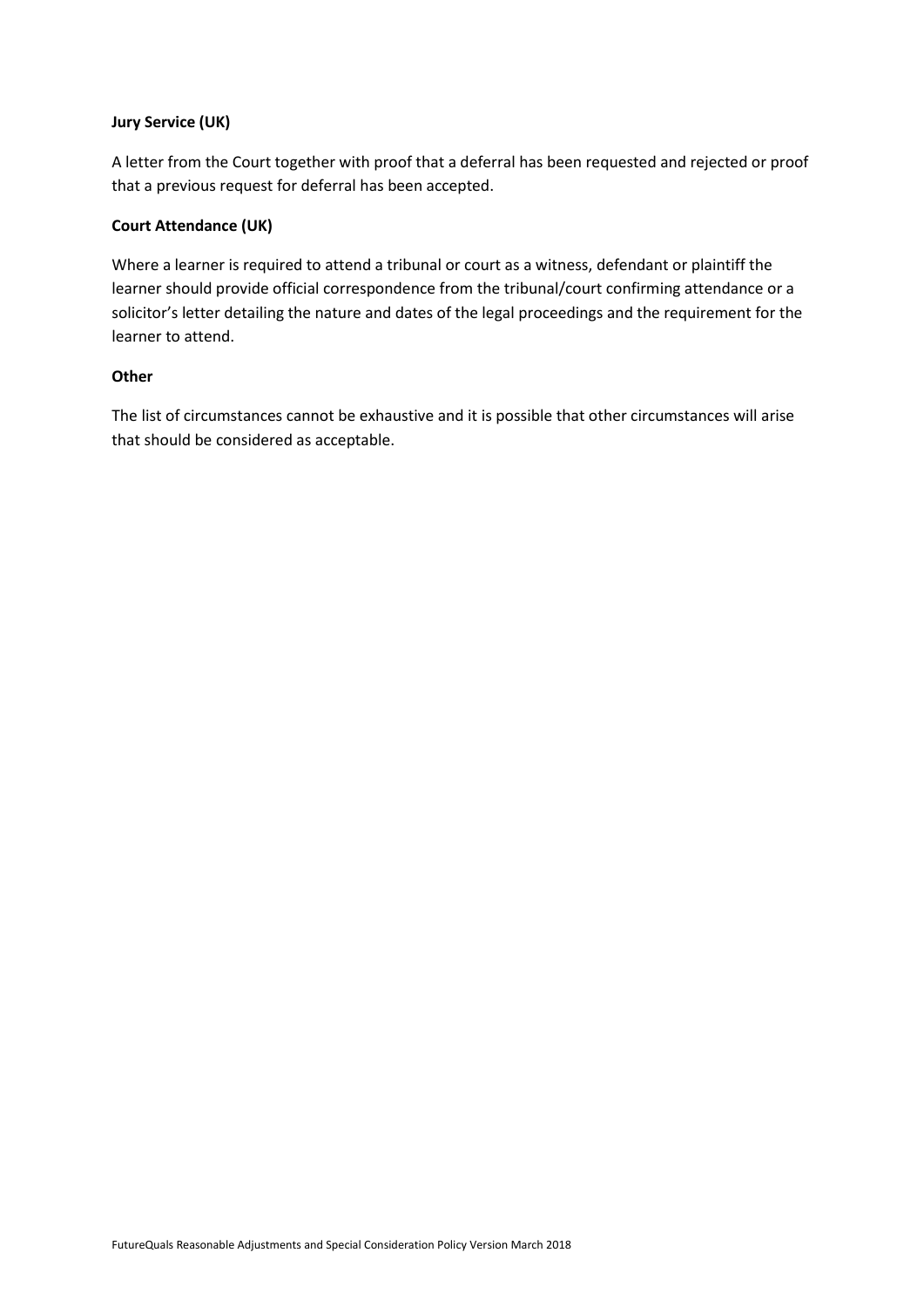## **Jury Service (UK)**

A letter from the Court together with proof that a deferral has been requested and rejected or proof that a previous request for deferral has been accepted.

#### **Court Attendance (UK)**

Where a learner is required to attend a tribunal or court as a witness, defendant or plaintiff the learner should provide official correspondence from the tribunal/court confirming attendance or a solicitor's letter detailing the nature and dates of the legal proceedings and the requirement for the learner to attend.

#### **Other**

The list of circumstances cannot be exhaustive and it is possible that other circumstances will arise that should be considered as acceptable.